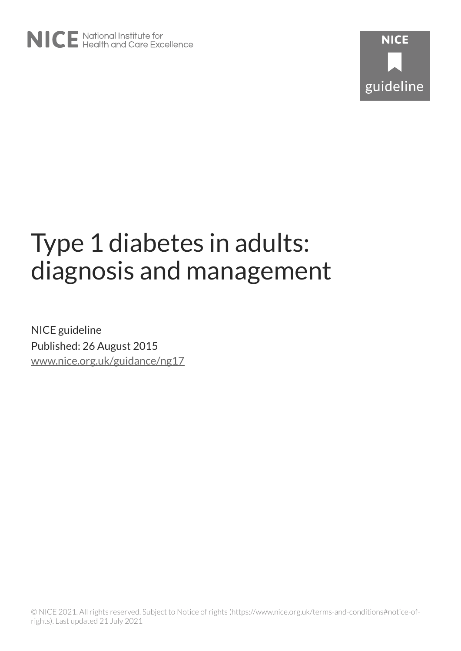# Type 1 diabetes in adults: diagnosis and management

NICE guideline Published: 26 August 2015 [www.nice.org.uk/guidance/ng17](https://www.nice.org.uk/guidance/ng17)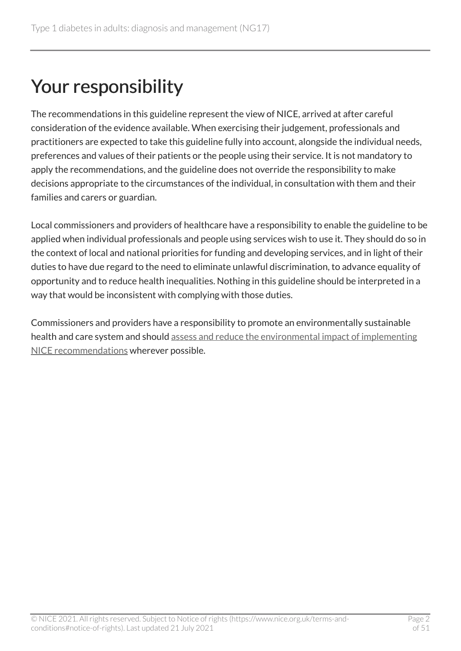# Your responsibility

The recommendations in this guideline represent the view of NICE, arrived at after careful consideration of the evidence available. When exercising their judgement, professionals and practitioners are expected to take this guideline fully into account, alongside the individual needs, preferences and values of their patients or the people using their service. It is not mandatory to apply the recommendations, and the guideline does not override the responsibility to make decisions appropriate to the circumstances of the individual, in consultation with them and their families and carers or guardian.

Local commissioners and providers of healthcare have a responsibility to enable the guideline to be applied when individual professionals and people using services wish to use it. They should do so in the context of local and national priorities for funding and developing services, and in light of their duties to have due regard to the need to eliminate unlawful discrimination, to advance equality of opportunity and to reduce health inequalities. Nothing in this guideline should be interpreted in a way that would be inconsistent with complying with those duties.

Commissioners and providers have a responsibility to promote an environmentally sustainable health and care system and should [assess and reduce the environmental impact of implementing](https://www.nice.org.uk/about/who-we-are/sustainability)  [NICE recommendations](https://www.nice.org.uk/about/who-we-are/sustainability) wherever possible.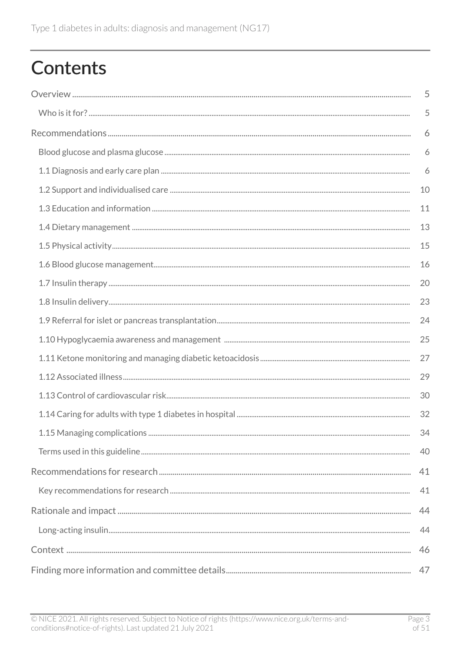# **Contents**

| 5  |
|----|
| 5  |
| 6  |
| 6  |
| 6  |
| 10 |
| 11 |
| 13 |
| 15 |
| 16 |
| 20 |
| 23 |
| 24 |
| 25 |
| 27 |
| 29 |
| 30 |
| 32 |
| 34 |
| 40 |
| 41 |
| 41 |
| 44 |
| 44 |
| 46 |
| 47 |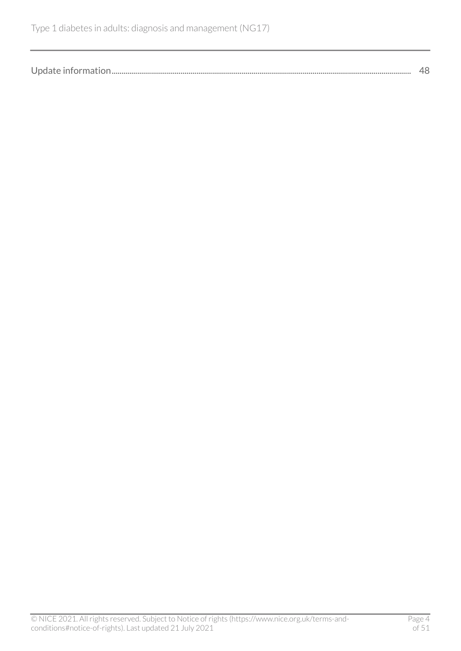| Update information. |  |
|---------------------|--|
|---------------------|--|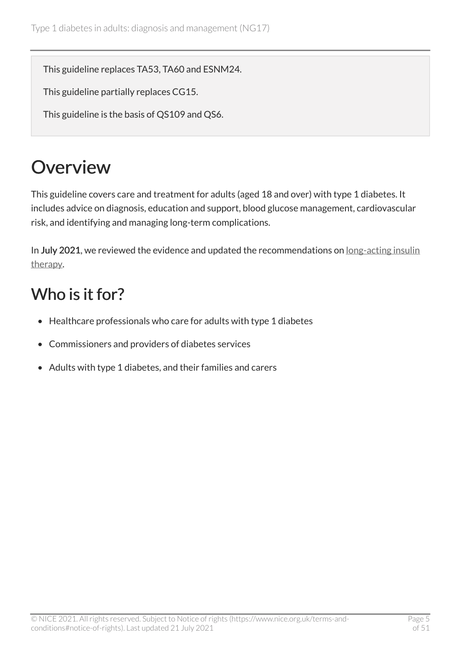This guideline replaces TA53, TA60 and ESNM24.

This guideline partially replaces CG15.

This guideline is the basis of QS109 and QS6.

# <span id="page-4-0"></span>**Overview**

This guideline covers care and treatment for adults (aged 18 and over) with type 1 diabetes. It includes advice on diagnosis, education and support, blood glucose management, cardiovascular risk, and identifying and managing long-term complications.

In July 2021, we reviewed the evidence and updated the recommendations on [long-acting insulin](#page-19-1) [therapy.](#page-19-1)

## <span id="page-4-1"></span>Who is it for?

- Healthcare professionals who care for adults with type 1 diabetes
- Commissioners and providers of diabetes services
- Adults with type 1 diabetes, and their families and carers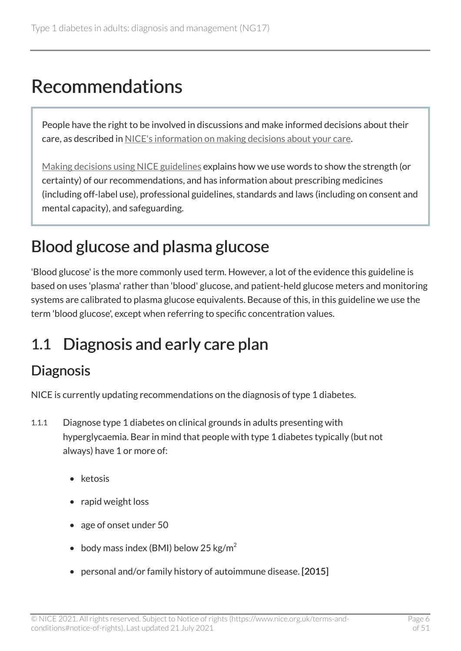# <span id="page-5-0"></span>Recommendations

People have the right to be involved in discussions and make informed decisions about their care, as described in [NICE's information on making decisions about your care](https://www.nice.org.uk/about/nice-communities/nice-and-the-public/making-decisions-about-your-care).

[Making decisions using NICE guidelines](http://www.nice.org.uk/about/what-we-do/our-programmes/nice-guidance/nice-guidelines/using-NICE-guidelines-to-make-decisions) explains how we use words to show the strength (or certainty) of our recommendations, and has information about prescribing medicines (including off-label use), professional guidelines, standards and laws (including on consent and mental capacity), and safeguarding.

## <span id="page-5-1"></span>Blood glucose and plasma glucose

'Blood glucose' is the more commonly used term. However, a lot of the evidence this guideline is based on uses 'plasma' rather than 'blood' glucose, and patient-held glucose meters and monitoring systems are calibrated to plasma glucose equivalents. Because of this, in this guideline we use the term 'blood glucose', except when referring to specific concentration values.

## <span id="page-5-2"></span>1.1 Diagnosis and early care plan

#### **Diagnosis**

NICE is currently updating recommendations on the diagnosis of type 1 diabetes.

- 1.1.1 Diagnose type 1 diabetes on clinical grounds in adults presenting with hyperglycaemia. Bear in mind that people with type 1 diabetes typically (but not always) have 1 or more of:
	- ketosis
	- rapid weight loss
	- age of onset under 50
	- body mass index (BMI) below 25 kg/m<sup>2</sup>
	- personal and/or family history of autoimmune disease. [2015]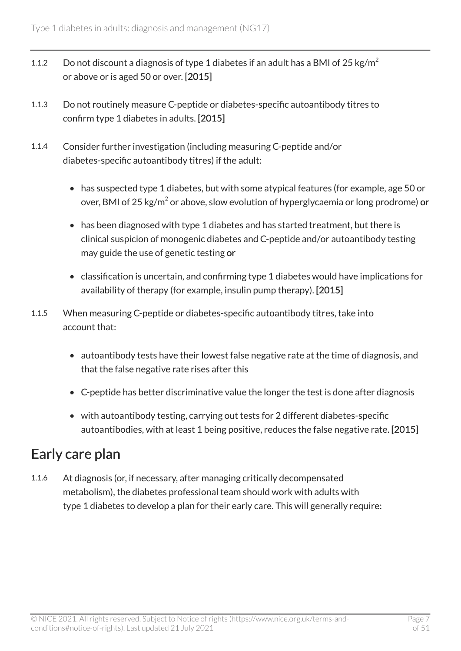- 1.1.2 Do not discount a diagnosis of type 1 diabetes if an adult has a BMI of 25 kg/m<sup>2</sup> or above or is aged 50 or over. [2015]
- 1.1.3 Do not routinely measure C-peptide or diabetes-specific autoantibody titres to confirm type 1 diabetes in adults. [2015]
- 1.1.4 Consider further investigation (including measuring C-peptide and/or diabetes-specific autoantibody titres) if the adult:
	- has suspected type 1 diabetes, but with some atypical features (for example, age 50 or over, BMI of 25 kg/m $^2$  or above, slow evolution of hyperglycaemia or long prodrome) or
	- has been diagnosed with type 1 diabetes and has started treatment, but there is clinical suspicion of monogenic diabetes and C-peptide and/or autoantibody testing may guide the use of genetic testing or
	- classification is uncertain, and confirming type 1 diabetes would have implications for availability of therapy (for example, insulin pump therapy). [2015]
- 1.1.5 When measuring C-peptide or diabetes-specific autoantibody titres, take into account that:
	- autoantibody tests have their lowest false negative rate at the time of diagnosis, and that the false negative rate rises after this
	- C-peptide has better discriminative value the longer the test is done after diagnosis
	- with autoantibody testing, carrying out tests for 2 different diabetes-specific autoantibodies, with at least 1 being positive, reduces the false negative rate. [2015]

### Early care plan

1.1.6 At diagnosis (or, if necessary, after managing critically decompensated metabolism), the diabetes professional team should work with adults with type 1 diabetes to develop a plan for their early care. This will generally require: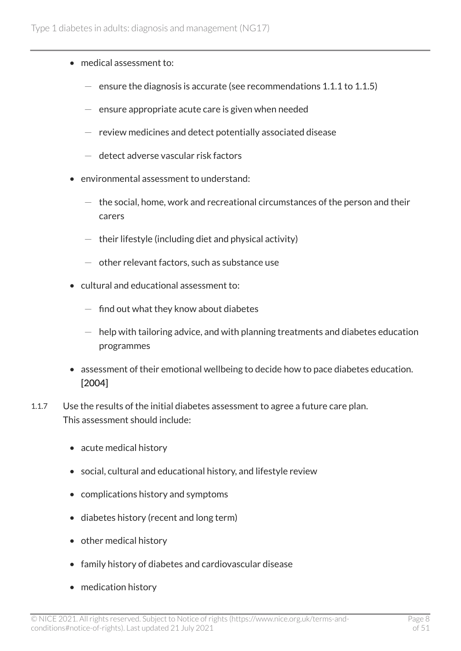- medical assessment to:
	- $-$  ensure the diagnosis is accurate (see recommendations 1.1.1 to 1.1.5)
	- $-$  ensure appropriate acute care is given when needed
	- $-$  review medicines and detect potentially associated disease
	- detect adverse vascular risk factors
- environmental assessment to understand:
	- $-$  the social, home, work and recreational circumstances of the person and their carers
	- $-$  their lifestyle (including diet and physical activity)
	- $-$  other relevant factors, such as substance use
- cultural and educational assessment to:
	- $-$  find out what they know about diabetes
	- $-$  help with tailoring advice, and with planning treatments and diabetes education programmes
- assessment of their emotional wellbeing to decide how to pace diabetes education. [2004]
- 1.1.7 Use the results of the initial diabetes assessment to agree a future care plan. This assessment should include:
	- acute medical history
	- social, cultural and educational history, and lifestyle review
	- complications history and symptoms
	- diabetes history (recent and long term)
	- other medical history
	- family history of diabetes and cardiovascular disease
	- medication history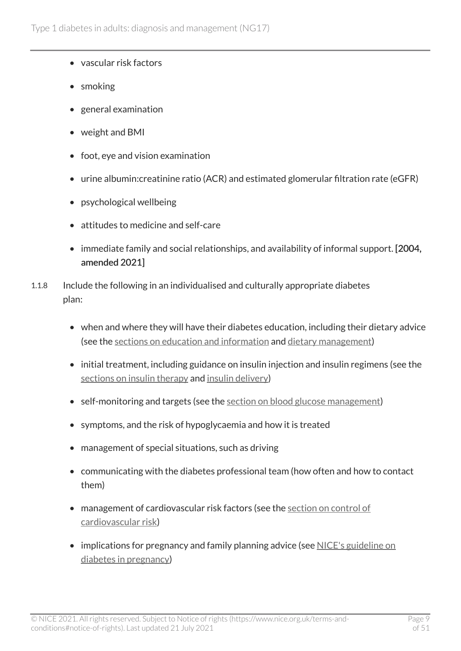- vascular risk factors
- smoking
- general examination
- weight and BMI
- foot, eye and vision examination
- urine albumin:creatinine ratio (ACR) and estimated glomerular filtration rate (eGFR)
- psychological wellbeing
- attitudes to medicine and self-care
- immediate family and social relationships, and availability of informal support. [2004, amended 2021]
- 1.1.8 Include the following in an individualised and culturally appropriate diabetes plan:
	- when and where they will have their diabetes education, including their dietary advice (see the [sections on education and information](#page-10-0) and [dietary management](#page-12-0))
	- initial treatment, including guidance on insulin injection and insulin regimens (see the [sections on insulin therapy](#page-19-0) and [insulin delivery\)](#page-22-0)
	- self-monitoring and targets (see the [section on blood glucose management](#page-15-0))
	- symptoms, and the risk of hypoglycaemia and how it is treated
	- management of special situations, such as driving
	- communicating with the diabetes professional team (how often and how to contact them)
	- management of cardiovascular risk factors (see the section on control of [cardiovascular risk\)](#page-29-0)
	- implications for pregnancy and family planning advice (see [NICE's guideline on](https://www.nice.org.uk/guidance/ng3) [diabetes in pregnancy\)](https://www.nice.org.uk/guidance/ng3)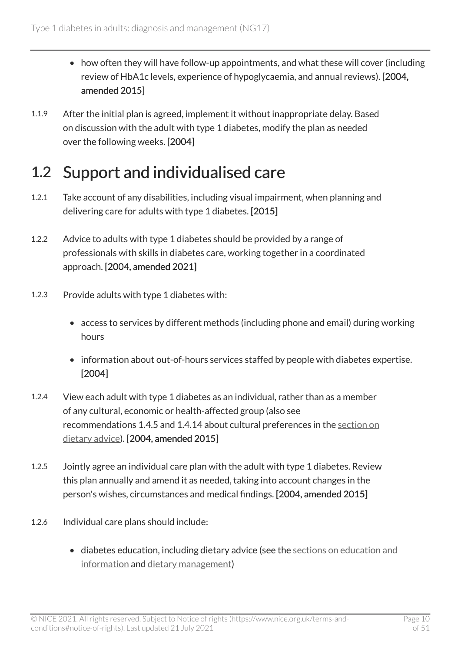- how often they will have follow-up appointments, and what these will cover (including review of HbA1c levels, experience of hypoglycaemia, and annual reviews). [2004, amended 2015]
- 1.1.9 After the initial plan is agreed, implement it without inappropriate delay. Based on discussion with the adult with type 1 diabetes, modify the plan as needed over the following weeks. [2004]

## <span id="page-9-0"></span>1.2 Support and individualised care

- 1.2.1 Take account of any disabilities, including visual impairment, when planning and delivering care for adults with type 1 diabetes. [2015]
- 1.2.2 Advice to adults with type 1 diabetes should be provided by a range of professionals with skills in diabetes care, working together in a coordinated approach. [2004, amended 2021]
- 1.2.3 Provide adults with type 1 diabetes with:
	- access to services by different methods (including phone and email) during working hours
	- information about out-of-hours services staffed by people with diabetes expertise. [2004]
- 1.2.4 View each adult with type 1 diabetes as an individual, rather than as a member of any cultural, economic or health-affected group (also see recommendations 1.4.5 and 1.4.14 about cultural preferences in the [section on](#page-12-1) [dietary advice](#page-12-1)). [2004, amended 2015]
- 1.2.5 Jointly agree an individual care plan with the adult with type 1 diabetes. Review this plan annually and amend it as needed, taking into account changes in the person's wishes, circumstances and medical findings. [2004, amended 2015]
- 1.2.6 Individual care plans should include:
	- diabetes education, including dietary advice (see the sections on education and [information](#page-10-0) and [dietary management](#page-12-0))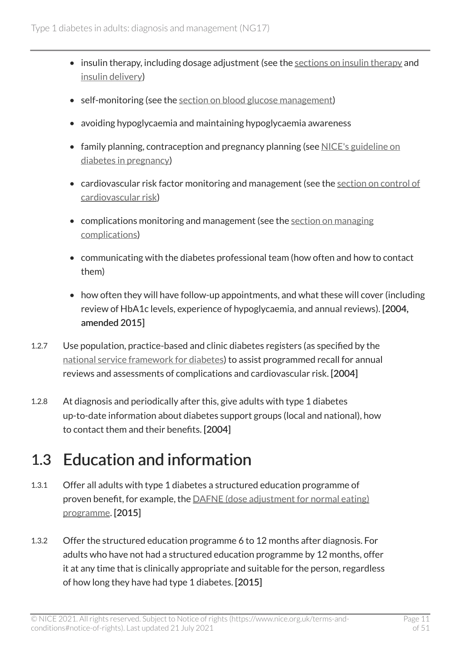- insulin therapy, including dosage adjustment (see the [sections on insulin therapy](#page-19-0) and [insulin delivery\)](#page-22-0)
- self-monitoring (see the [section on blood glucose management\)](#page-15-0)
- avoiding hypoglycaemia and maintaining hypoglycaemia awareness
- family planning, contraception and pregnancy planning (see NICE's guideline on [diabetes in pregnancy\)](https://www.nice.org.uk/guidance/ng3)
- cardiovascular risk factor monitoring and management (see the [section on control of](#page-29-0)  [cardiovascular risk\)](#page-29-0)
- complications monitoring and management (see the section on managing [complications](#page-33-0))
- communicating with the diabetes professional team (how often and how to contact them)
- how often they will have follow-up appointments, and what these will cover (including review of HbA1c levels, experience of hypoglycaemia, and annual reviews). [2004, amended 2015]
- 1.2.7 Use population, practice-based and clinic diabetes registers (as specified by the [national service framework for diabetes](https://www.gov.uk/government/publications/national-service-framework-diabetes)) to assist programmed recall for annual reviews and assessments of complications and cardiovascular risk. [2004]
- 1.2.8 At diagnosis and periodically after this, give adults with type 1 diabetes up-to-date information about diabetes support groups (local and national), how to contact them and their benefits. [2004]

## <span id="page-10-0"></span>1.3 Education and information

- 1.3.1 Offer all adults with type 1 diabetes a structured education programme of proven benefit, for example, the [DAFNE \(dose adjustment for normal eating\)](https://dafne.nhs.uk/) [programme](https://dafne.nhs.uk/). [2015]
- 1.3.2 Offer the structured education programme 6 to 12 months after diagnosis. For adults who have not had a structured education programme by 12 months, offer it at any time that is clinically appropriate and suitable for the person, regardless of how long they have had type 1 diabetes. [2015]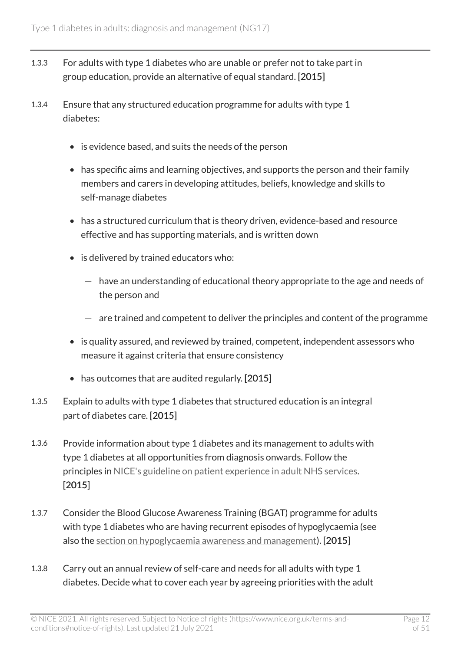- 1.3.3 For adults with type 1 diabetes who are unable or prefer not to take part in group education, provide an alternative of equal standard. [2015]
- 1.3.4 Ensure that any structured education programme for adults with type 1 diabetes:
	- is evidence based, and suits the needs of the person
	- has specific aims and learning objectives, and supports the person and their family members and carers in developing attitudes, beliefs, knowledge and skills to self-manage diabetes
	- has a structured curriculum that is theory driven, evidence-based and resource effective and has supporting materials, and is written down
	- is delivered by trained educators who:
		- $-$  have an understanding of educational theory appropriate to the age and needs of the person and
		- $-$  are trained and competent to deliver the principles and content of the programme
	- is quality assured, and reviewed by trained, competent, independent assessors who measure it against criteria that ensure consistency
	- has outcomes that are audited regularly. [2015]
- 1.3.5 Explain to adults with type 1 diabetes that structured education is an integral part of diabetes care. [2015]
- 1.3.6 Provide information about type 1 diabetes and its management to adults with type 1 diabetes at all opportunities from diagnosis onwards. Follow the principles in [NICE's guideline on patient experience in adult NHS services.](https://www.nice.org.uk/guidance/cg138) [2015]
- 1.3.7 Consider the Blood Glucose Awareness Training (BGAT) programme for adults with type 1 diabetes who are having recurrent episodes of hypoglycaemia (see also the [section on hypoglycaemia awareness and management\)](#page-24-0). [2015]
- 1.3.8 Carry out an annual review of self-care and needs for all adults with type 1 diabetes. Decide what to cover each year by agreeing priorities with the adult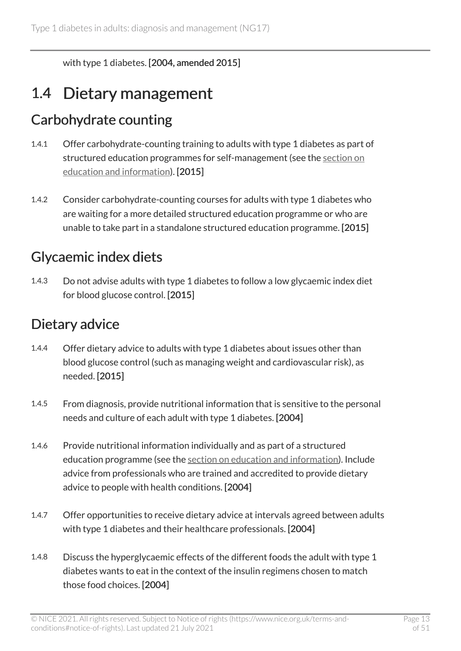with type 1 diabetes. [2004, amended 2015]

## <span id="page-12-0"></span>1.4 Dietary management

### Carbohydrate counting

- 1.4.1 Offer carbohydrate-counting training to adults with type 1 diabetes as part of structured education programmes for self-management (see the [section on](#page-10-0)  [education and information\)](#page-10-0). [2015]
- 1.4.2 Consider carbohydrate-counting courses for adults with type 1 diabetes who are waiting for a more detailed structured education programme or who are unable to take part in a standalone structured education programme. [2015]

### Glycaemic index diets

1.4.3 Do not advise adults with type 1 diabetes to follow a low glycaemic index diet for blood glucose control. [2015]

### <span id="page-12-1"></span>Dietary advice

- 1.4.4 Offer dietary advice to adults with type 1 diabetes about issues other than blood glucose control (such as managing weight and cardiovascular risk), as needed. [2015]
- 1.4.5 From diagnosis, provide nutritional information that is sensitive to the personal needs and culture of each adult with type 1 diabetes. [2004]
- 1.4.6 Provide nutritional information individually and as part of a structured education programme (see the [section on education and information\)](#page-10-0). Include advice from professionals who are trained and accredited to provide dietary advice to people with health conditions. [2004]
- 1.4.7 Offer opportunities to receive dietary advice at intervals agreed between adults with type 1 diabetes and their healthcare professionals. [2004]
- 1.4.8 Discuss the hyperglycaemic effects of the different foods the adult with type 1 diabetes wants to eat in the context of the insulin regimens chosen to match those food choices. [2004]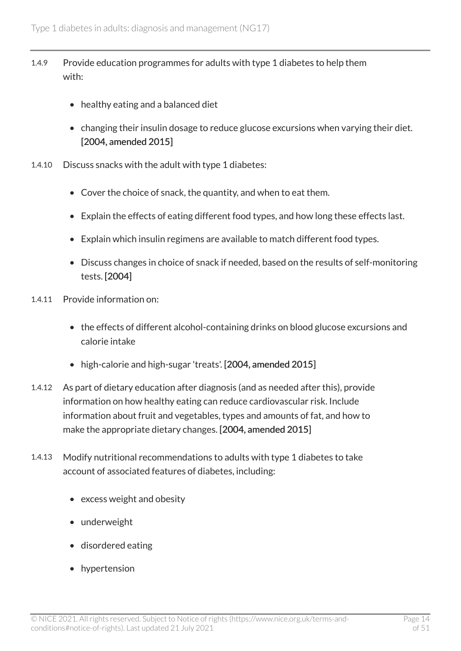- 1.4.9 Provide education programmes for adults with type 1 diabetes to help them with:
	- healthy eating and a balanced diet
	- changing their insulin dosage to reduce glucose excursions when varying their diet. [2004, amended 2015]
- 1.4.10 Discuss snacks with the adult with type 1 diabetes:
	- Cover the choice of snack, the quantity, and when to eat them.
	- Explain the effects of eating different food types, and how long these effects last.
	- Explain which insulin regimens are available to match different food types.
	- Discuss changes in choice of snack if needed, based on the results of self-monitoring tests. [2004]
- 1.4.11 Provide information on:
	- the effects of different alcohol-containing drinks on blood glucose excursions and calorie intake
	- high-calorie and high-sugar 'treats'. [2004, amended 2015]
- 1.4.12 As part of dietary education after diagnosis (and as needed after this), provide information on how healthy eating can reduce cardiovascular risk. Include information about fruit and vegetables, types and amounts of fat, and how to make the appropriate dietary changes. [2004, amended 2015]
- 1.4.13 Modify nutritional recommendations to adults with type 1 diabetes to take account of associated features of diabetes, including:
	- excess weight and obesity
	- underweight
	- disordered eating
	- hypertension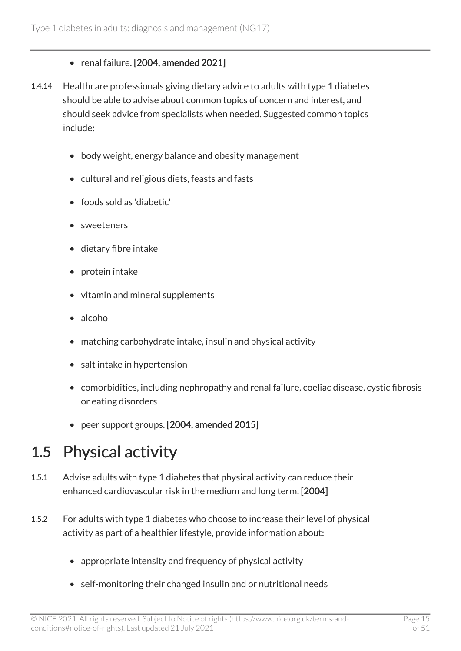#### • renal failure. [2004, amended 2021]

- 1.4.14 Healthcare professionals giving dietary advice to adults with type 1 diabetes should be able to advise about common topics of concern and interest, and should seek advice from specialists when needed. Suggested common topics include:
	- body weight, energy balance and obesity management
	- cultural and religious diets, feasts and fasts
	- foods sold as 'diabetic'
	- sweeteners
	- dietary fibre intake
	- protein intake
	- vitamin and mineral supplements
	- alcohol
	- matching carbohydrate intake, insulin and physical activity
	- salt intake in hypertension
	- comorbidities, including nephropathy and renal failure, coeliac disease, cystic fibrosis or eating disorders
	- peer support groups. [2004, amended 2015]

### <span id="page-14-0"></span>1.5 Physical activity

- 1.5.1 Advise adults with type 1 diabetes that physical activity can reduce their enhanced cardiovascular risk in the medium and long term. [2004]
- 1.5.2 For adults with type 1 diabetes who choose to increase their level of physical activity as part of a healthier lifestyle, provide information about:
	- appropriate intensity and frequency of physical activity
	- self-monitoring their changed insulin and or nutritional needs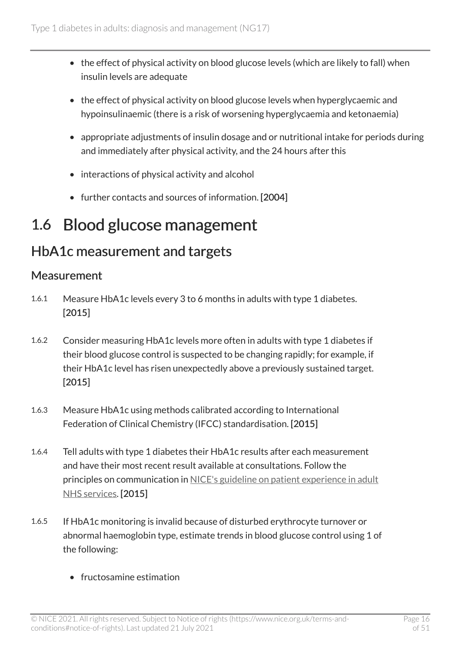- the effect of physical activity on blood glucose levels (which are likely to fall) when insulin levels are adequate
- the effect of physical activity on blood glucose levels when hyperglycaemic and hypoinsulinaemic (there is a risk of worsening hyperglycaemia and ketonaemia)
- appropriate adjustments of insulin dosage and or nutritional intake for periods during and immediately after physical activity, and the 24 hours after this
- interactions of physical activity and alcohol
- further contacts and sources of information. [2004]

## <span id="page-15-0"></span>1.6 Blood glucose management

### HbA1c measurement and targets

#### Measurement

- 1.6.1 Measure HbA1c levels every 3 to 6 months in adults with type 1 diabetes. [2015]
- 1.6.2 Consider measuring HbA1c levels more often in adults with type 1 diabetes if their blood glucose control is suspected to be changing rapidly; for example, if their HbA1c level has risen unexpectedly above a previously sustained target. [2015]
- 1.6.3 Measure HbA1c using methods calibrated according to International Federation of Clinical Chemistry (IFCC) standardisation. [2015]
- 1.6.4 Tell adults with type 1 diabetes their HbA1c results after each measurement and have their most recent result available at consultations. Follow the principles on communication in [NICE's guideline on patient experience in adult](https://www.nice.org.uk/guidance/cg138)  [NHS services.](https://www.nice.org.uk/guidance/cg138) [2015]
- 1.6.5 If HbA1c monitoring is invalid because of disturbed erythrocyte turnover or abnormal haemoglobin type, estimate trends in blood glucose control using 1 of the following:
	- fructosamine estimation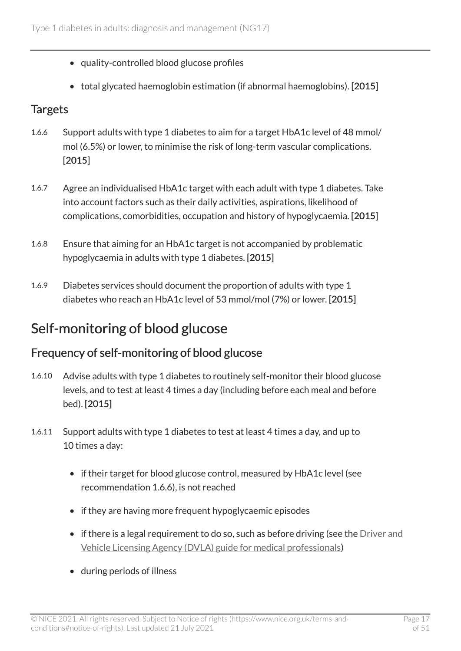- quality-controlled blood glucose profiles
- total glycated haemoglobin estimation (if abnormal haemoglobins). [2015]

#### **Targets**

- 1.6.6 Support adults with type 1 diabetes to aim for a target HbA1c level of 48 mmol/ mol (6.5%) or lower, to minimise the risk of long-term vascular complications. [2015]
- 1.6.7 Agree an individualised HbA1c target with each adult with type 1 diabetes. Take into account factors such as their daily activities, aspirations, likelihood of complications, comorbidities, occupation and history of hypoglycaemia. [2015]
- 1.6.8 Ensure that aiming for an HbA1c target is not accompanied by problematic hypoglycaemia in adults with type 1 diabetes. [2015]
- 1.6.9 Diabetes services should document the proportion of adults with type 1 diabetes who reach an HbA1c level of 53 mmol/mol (7%) or lower. [2015]

### <span id="page-16-0"></span>Self-monitoring of blood glucose

#### Frequency of self-monitoring of blood glucose

- 1.6.10 Advise adults with type 1 diabetes to routinely self-monitor their blood glucose levels, and to test at least 4 times a day (including before each meal and before bed). [2015]
- 1.6.11 Support adults with type 1 diabetes to test at least 4 times a day, and up to 10 times a day:
	- if their target for blood glucose control, measured by HbA1c level (see recommendation 1.6.6), is not reached
	- if they are having more frequent hypoglycaemic episodes
	- $\bullet$  if there is a legal requirement to do so, such as before driving (see the Driver and [Vehicle Licensing Agency \(DVLA\) guide for medical professionals](https://www.gov.uk/government/publications/at-a-glance))
	- during periods of illness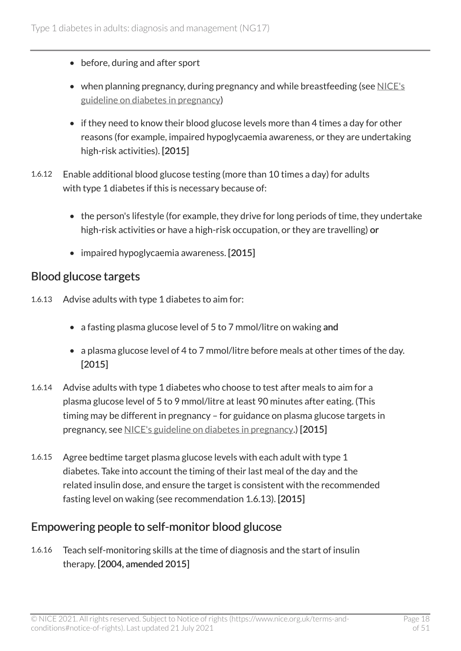- before, during and after sport
- when planning pregnancy, during pregnancy and while breastfeeding (see [NICE's](https://www.nice.org.uk/guidance/ng3) [guideline on diabetes in pregnancy\)](https://www.nice.org.uk/guidance/ng3)
- if they need to know their blood glucose levels more than 4 times a day for other reasons (for example, impaired hypoglycaemia awareness, or they are undertaking high-risk activities). [2015]
- 1.6.12 Enable additional blood glucose testing (more than 10 times a day) for adults with type 1 diabetes if this is necessary because of:
	- the person's lifestyle (for example, they drive for long periods of time, they undertake high-risk activities or have a high-risk occupation, or they are travelling) or
	- impaired hypoglycaemia awareness. [2015]

#### <span id="page-17-0"></span>Blood glucose targets

- 1.6.13 Advise adults with type 1 diabetes to aim for:
	- a fasting plasma glucose level of 5 to 7 mmol/litre on waking and
	- a plasma glucose level of 4 to 7 mmol/litre before meals at other times of the day. [2015]
- 1.6.14 Advise adults with type 1 diabetes who choose to test after meals to aim for a plasma glucose level of 5 to 9 mmol/litre at least 90 minutes after eating. (This timing may be different in pregnancy – for guidance on plasma glucose targets in pregnancy, see [NICE's guideline on diabetes in pregnancy.](https://www.nice.org.uk/guidance/ng3)) [2015]
- 1.6.15 Agree bedtime target plasma glucose levels with each adult with type 1 diabetes. Take into account the timing of their last meal of the day and the related insulin dose, and ensure the target is consistent with the recommended fasting level on waking (see recommendation 1.6.13). [2015]

#### Empowering people to self-monitor blood glucose

1.6.16 Teach self-monitoring skills at the time of diagnosis and the start of insulin therapy. [2004, amended 2015]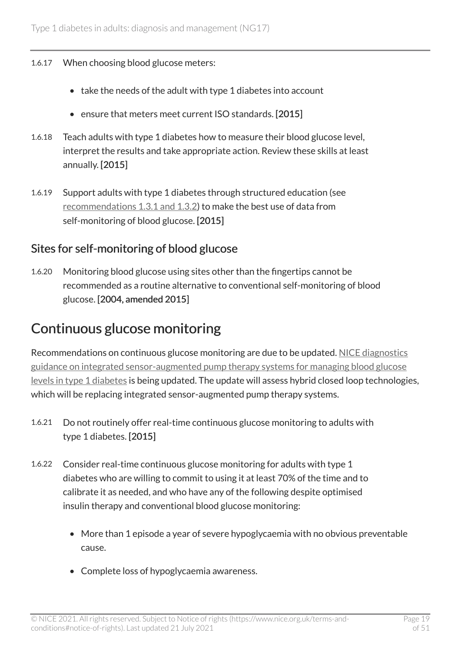#### 1.6.17 When choosing blood glucose meters:

- take the needs of the adult with type 1 diabetes into account
- ensure that meters meet current ISO standards. [2015]
- 1.6.18 Teach adults with type 1 diabetes how to measure their blood glucose level, interpret the results and take appropriate action. Review these skills at least annually. [2015]
- 1.6.19 Support adults with type 1 diabetes through structured education (see [recommendations 1.3.1 and 1.3.2\)](#page-10-0) to make the best use of data from self-monitoring of blood glucose. [2015]

#### Sites for self-monitoring of blood glucose

1.6.20 Monitoring blood glucose using sites other than the fingertips cannot be recommended as a routine alternative to conventional self-monitoring of blood glucose. [2004, amended 2015]

#### Continuous glucose monitoring

Recommendations on continuous glucose monitoring are due to be updated. [NICE diagnostics](https://www.nice.org.uk/guidance/dg21)  [guidance on integrated sensor-augmented pump therapy systems for managing blood glucose](https://www.nice.org.uk/guidance/dg21) [levels in type](https://www.nice.org.uk/guidance/dg21) 1 diabetes is being updated. The update will assess hybrid closed loop technologies, which will be replacing integrated sensor-augmented pump therapy systems.

- 1.6.21 Do not routinely offer real-time continuous glucose monitoring to adults with type 1 diabetes. [2015]
- 1.6.22 Consider real-time continuous glucose monitoring for adults with type 1 diabetes who are willing to commit to using it at least 70% of the time and to calibrate it as needed, and who have any of the following despite optimised insulin therapy and conventional blood glucose monitoring:
	- More than 1 episode a year of severe hypoglycaemia with no obvious preventable cause.
	- Complete loss of hypoglycaemia awareness.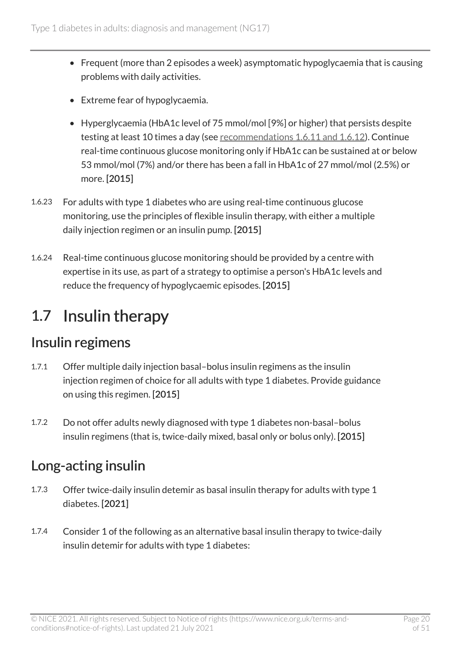- Frequent (more than 2 episodes a week) asymptomatic hypoglycaemia that is causing problems with daily activities.
- Extreme fear of hypoglycaemia.
- Hyperglycaemia (HbA1c level of 75 mmol/mol [9%] or higher) that persists despite testing at least 10 times a day (see [recommendations 1.6.11 and 1.6.12](#page-16-0)). Continue real-time continuous glucose monitoring only if HbA1c can be sustained at or below 53 mmol/mol (7%) and/or there has been a fall in HbA1c of 27 mmol/mol (2.5%) or more. [2015]
- 1.6.23 For adults with type 1 diabetes who are using real-time continuous glucose monitoring, use the principles of flexible insulin therapy, with either a multiple daily injection regimen or an insulin pump. [2015]
- 1.6.24 Real-time continuous glucose monitoring should be provided by a centre with expertise in its use, as part of a strategy to optimise a person's HbA1c levels and reduce the frequency of hypoglycaemic episodes. [2015]

## <span id="page-19-0"></span>1.7 Insulin therapy

#### Insulin regimens

- 1.7.1 Offer multiple daily injection basal–bolus insulin regimens as the insulin injection regimen of choice for all adults with type 1 diabetes. Provide guidance on using this regimen. [2015]
- 1.7.2 Do not offer adults newly diagnosed with type 1 diabetes non-basal–bolus insulin regimens (that is, twice-daily mixed, basal only or bolus only). [2015]

### <span id="page-19-1"></span>Long-acting insulin

- 1.7.3 Offer twice-daily insulin detemir as basal insulin therapy for adults with type 1 diabetes. [2021]
- 1.7.4 Consider 1 of the following as an alternative basal insulin therapy to twice-daily insulin detemir for adults with type 1 diabetes: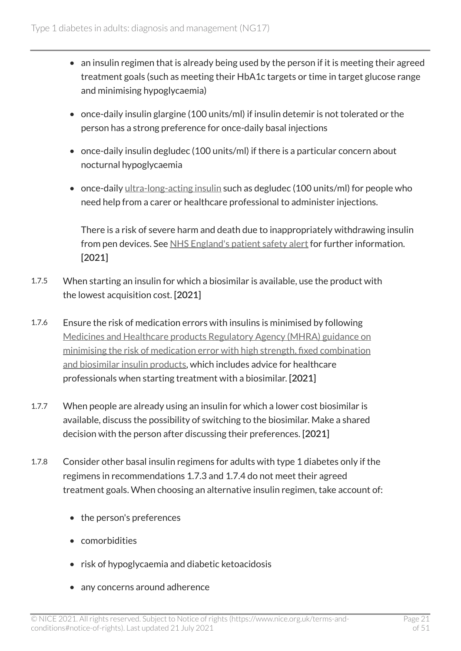- an insulin regimen that is already being used by the person if it is meeting their agreed treatment goals (such as meeting their HbA1c targets or time in target glucose range and minimising hypoglycaemia)
- once-daily insulin glargine (100 units/ml) if insulin detemir is not tolerated or the person has a strong preference for once-daily basal injections
- once-daily insulin degludec (100 units/ml) if there is a particular concern about nocturnal hypoglycaemia
- once-daily [ultra-long-acting insulin](#page-39-1) such as degludec (100 units/ml) for people who need help from a carer or healthcare professional to administer injections.

There is a risk of severe harm and death due to inappropriately withdrawing insulin from pen devices. See [NHS England's patient safety alert](https://www.england.nhs.uk/publication/patent-safety-alert-risk-severe-harm-and-death-withdrawing-insulin-pen-devices/) for further information. [2021]

- 1.7.5 When starting an insulin for which a biosimilar is available, use the product with the lowest acquisition cost. [2021]
- 1.7.6 Ensure the risk of medication errors with insulins is minimised by following [Medicines and Healthcare products Regulatory Agency \(MHRA\) guidance on](https://www.gov.uk/drug-safety-update/high-strength-fixed-combination-and-biosimilar-insulin-products-minimising-the-risk-of-medication-error?UNLID=7533607272016481362#dose-conversion-when-switching-between-standard-and-high-strength-insulin-products) [minimising the risk of medication error with high strength, fixed combination](https://www.gov.uk/drug-safety-update/high-strength-fixed-combination-and-biosimilar-insulin-products-minimising-the-risk-of-medication-error?UNLID=7533607272016481362#dose-conversion-when-switching-between-standard-and-high-strength-insulin-products)  [and biosimilar insulin products,](https://www.gov.uk/drug-safety-update/high-strength-fixed-combination-and-biosimilar-insulin-products-minimising-the-risk-of-medication-error?UNLID=7533607272016481362#dose-conversion-when-switching-between-standard-and-high-strength-insulin-products) which includes advice for healthcare professionals when starting treatment with a biosimilar. [2021]
- 1.7.7 When people are already using an insulin for which a lower cost biosimilar is available, discuss the possibility of switching to the biosimilar. Make a shared decision with the person after discussing their preferences. [2021]
- 1.7.8 Consider other basal insulin regimens for adults with type 1 diabetes only if the regimens in recommendations 1.7.3 and 1.7.4 do not meet their agreed treatment goals. When choosing an alternative insulin regimen, take account of:
	- the person's preferences
	- comorbidities
	- risk of hypoglycaemia and diabetic ketoacidosis
	- any concerns around adherence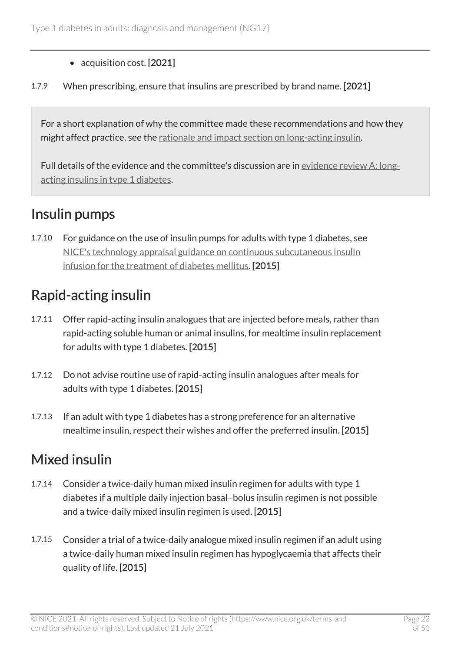- acquisition cost. [2021]
- 1.7.9 When prescribing, ensure that insulins are prescribed by brand name. [2021]

For a short explanation of why the committee made these recommendations and how they might affect practice, see the [rationale and impact section on long-acting insulin.](#page-43-2)

Full details of the evidence and the committee's discussion are in [evidence review](https://www.nice.org.uk/guidance/ng17/evidence/a-longacting-insulins-in-type-1-diabetes-pdf-9196139918) A: long[acting insulins in type](https://www.nice.org.uk/guidance/ng17/evidence/a-longacting-insulins-in-type-1-diabetes-pdf-9196139918) 1 diabetes.

### Insulin pumps

1.7.10 For guidance on the use of insulin pumps for adults with type 1 diabetes, see [NICE's technology appraisal guidance on continuous subcutaneous insulin](https://www.nice.org.uk/guidance/ta151)  [infusion for the treatment of diabetes mellitus.](https://www.nice.org.uk/guidance/ta151) [2015]

### Rapid-acting insulin

- 1.7.11 Offer rapid-acting insulin analogues that are injected before meals, rather than rapid-acting soluble human or animal insulins, for mealtime insulin replacement for adults with type 1 diabetes. [2015]
- 1.7.12 Do not advise routine use of rapid-acting insulin analogues after meals for adults with type 1 diabetes. [2015]
- 1.7.13 If an adult with type 1 diabetes has a strong preference for an alternative mealtime insulin, respect their wishes and offer the preferred insulin. [2015]

### Mixed insulin

- 1.7.14 Consider a twice-daily human mixed insulin regimen for adults with type 1 diabetes if a multiple daily injection basal–bolus insulin regimen is not possible and a twice-daily mixed insulin regimen is used. [2015]
- 1.7.15 Consider a trial of a twice-daily analogue mixed insulin regimen if an adult using a twice-daily human mixed insulin regimen has hypoglycaemia that affects their quality of life. [2015]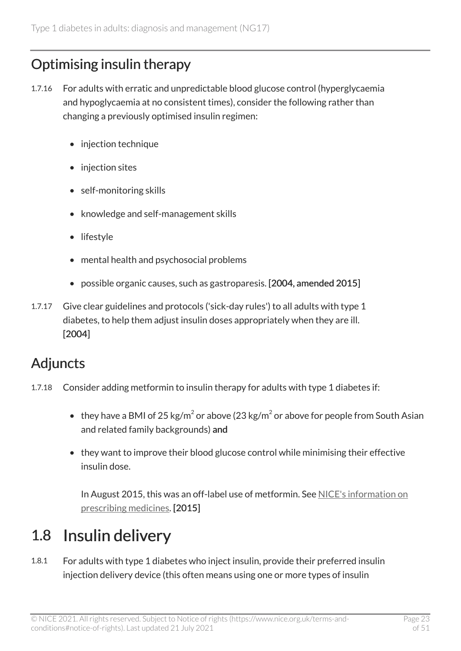### Optimising insulin therapy

- 1.7.16 For adults with erratic and unpredictable blood glucose control (hyperglycaemia and hypoglycaemia at no consistent times), consider the following rather than changing a previously optimised insulin regimen:
	- injection technique
	- injection sites
	- self-monitoring skills
	- knowledge and self-management skills
	- lifestyle
	- mental health and psychosocial problems
	- possible organic causes, such as gastroparesis. [2004, amended 2015]
- 1.7.17 Give clear guidelines and protocols ('sick-day rules') to all adults with type 1 diabetes, to help them adjust insulin doses appropriately when they are ill. [2004]

### Adjuncts

- 1.7.18 Consider adding metformin to insulin therapy for adults with type 1 diabetes if:
	- they have a BMI of 25 kg/m<sup>2</sup> or above (23 kg/m<sup>2</sup> or above for people from South Asian and related family backgrounds) and
	- they want to improve their blood glucose control while minimising their effective insulin dose.

In August 2015, this was an off-label use of metformin. See [NICE's information on](https://www.nice.org.uk/about/what-we-do/our-programmes/nice-guidance/nice-guidelines/making-decisions-using-nice-guidelines#prescribing-medicines) [prescribing medicines.](https://www.nice.org.uk/about/what-we-do/our-programmes/nice-guidance/nice-guidelines/making-decisions-using-nice-guidelines#prescribing-medicines) [2015]

## <span id="page-22-0"></span>1.8 Insulin delivery

1.8.1 For adults with type 1 diabetes who inject insulin, provide their preferred insulin injection delivery device (this often means using one or more types of insulin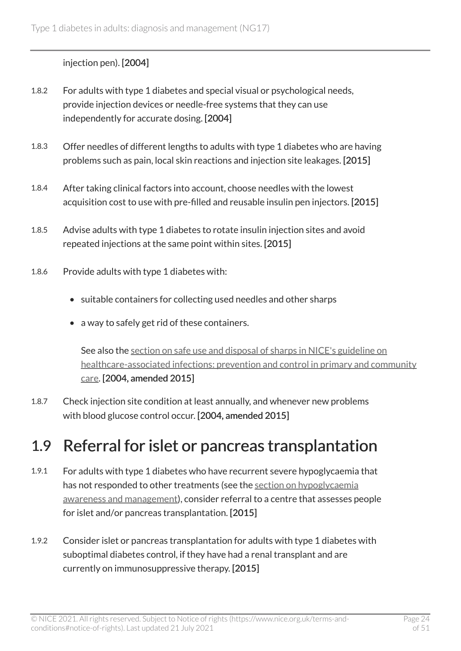#### injection pen). [2004]

- 1.8.2 For adults with type 1 diabetes and special visual or psychological needs, provide injection devices or needle-free systems that they can use independently for accurate dosing. [2004]
- 1.8.3 Offer needles of different lengths to adults with type 1 diabetes who are having problems such as pain, local skin reactions and injection site leakages. [2015]
- 1.8.4 After taking clinical factors into account, choose needles with the lowest acquisition cost to use with pre-filled and reusable insulin pen injectors. [2015]
- 1.8.5 Advise adults with type 1 diabetes to rotate insulin injection sites and avoid repeated injections at the same point within sites. [2015]
- 1.8.6 Provide adults with type 1 diabetes with:
	- suitable containers for collecting used needles and other sharps
	- a way to safely get rid of these containers.

See also the [section on safe use and disposal of sharps in NICE's guideline on](https://www.nice.org.uk/guidance/cg139/chapter/1-guidance#safe-use-and-disposal-of-sharps)  [healthcare-associated infections: prevention and control in primary and community](https://www.nice.org.uk/guidance/cg139/chapter/1-guidance#safe-use-and-disposal-of-sharps) [care](https://www.nice.org.uk/guidance/cg139/chapter/1-guidance#safe-use-and-disposal-of-sharps). [2004, amended 2015]

1.8.7 Check injection site condition at least annually, and whenever new problems with blood glucose control occur. [2004, amended 2015]

### <span id="page-23-0"></span>1.9 Referral for islet or pancreas transplantation

- 1.9.1 For adults with type 1 diabetes who have recurrent severe hypoglycaemia that has not responded to other treatments (see the [section on hypoglycaemia](#page-24-0) [awareness and management\)](#page-24-0), consider referral to a centre that assesses people for islet and/or pancreas transplantation. [2015]
- 1.9.2 Consider islet or pancreas transplantation for adults with type 1 diabetes with suboptimal diabetes control, if they have had a renal transplant and are currently on immunosuppressive therapy. [2015]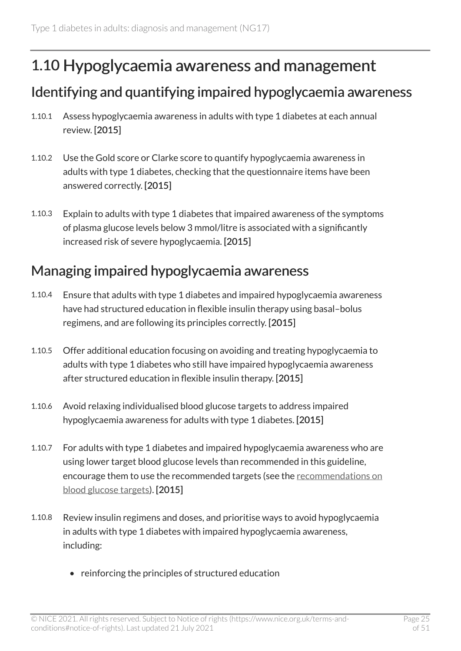### <span id="page-24-0"></span>1.10 Hypoglycaemia awareness and management

#### Identifying and quantifying impaired hypoglycaemia awareness

- 1.10.1 Assess hypoglycaemia awareness in adults with type 1 diabetes at each annual review. [2015]
- 1.10.2 Use the Gold score or Clarke score to quantify hypoglycaemia awareness in adults with type 1 diabetes, checking that the questionnaire items have been answered correctly. [2015]
- 1.10.3 Explain to adults with type 1 diabetes that impaired awareness of the symptoms of plasma glucose levels below 3 mmol/litre is associated with a significantly increased risk of severe hypoglycaemia. [2015]

#### Managing impaired hypoglycaemia awareness

- 1.10.4 Ensure that adults with type 1 diabetes and impaired hypoglycaemia awareness have had structured education in flexible insulin therapy using basal–bolus regimens, and are following its principles correctly. [2015]
- 1.10.5 Offer additional education focusing on avoiding and treating hypoglycaemia to adults with type 1 diabetes who still have impaired hypoglycaemia awareness after structured education in flexible insulin therapy. [2015]
- 1.10.6 Avoid relaxing individualised blood glucose targets to address impaired hypoglycaemia awareness for adults with type 1 diabetes. [2015]
- 1.10.7 For adults with type 1 diabetes and impaired hypoglycaemia awareness who are using lower target blood glucose levels than recommended in this guideline, encourage them to use the recommended targets (see the [recommendations on](#page-17-0)  [blood glucose targets\)](#page-17-0). [2015]
- 1.10.8 Review insulin regimens and doses, and prioritise ways to avoid hypoglycaemia in adults with type 1 diabetes with impaired hypoglycaemia awareness, including:
	- reinforcing the principles of structured education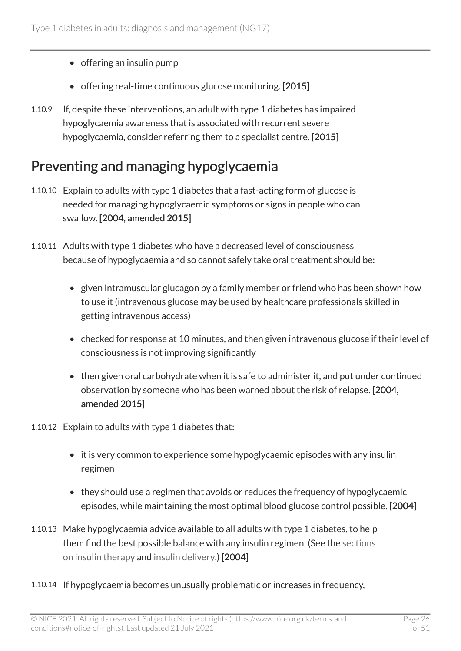- offering an insulin pump
- offering real-time continuous glucose monitoring. [2015]
- 1.10.9 If, despite these interventions, an adult with type 1 diabetes has impaired hypoglycaemia awareness that is associated with recurrent severe hypoglycaemia, consider referring them to a specialist centre. [2015]

#### Preventing and managing hypoglycaemia

- 1.10.10 Explain to adults with type 1 diabetes that a fast-acting form of glucose is needed for managing hypoglycaemic symptoms or signs in people who can swallow. [2004, amended 2015]
- 1.10.11 Adults with type 1 diabetes who have a decreased level of consciousness because of hypoglycaemia and so cannot safely take oral treatment should be:
	- given intramuscular glucagon by a family member or friend who has been shown how to use it (intravenous glucose may be used by healthcare professionals skilled in getting intravenous access)
	- checked for response at 10 minutes, and then given intravenous glucose if their level of consciousness is not improving significantly
	- then given oral carbohydrate when it is safe to administer it, and put under continued observation by someone who has been warned about the risk of relapse. [2004, amended 2015]
- 1.10.12 Explain to adults with type 1 diabetes that:
	- it is very common to experience some hypoglycaemic episodes with any insulin regimen
	- they should use a regimen that avoids or reduces the frequency of hypoglycaemic episodes, while maintaining the most optimal blood glucose control possible. [2004]
- 1.10.13 Make hypoglycaemia advice available to all adults with type 1 diabetes, to help them find the best possible balance with any insulin regimen. (See the [sections](#page-19-0) [on insulin therapy](#page-19-0) and [insulin delivery.](#page-22-0)) [2004]
- 1.10.14 If hypoglycaemia becomes unusually problematic or increases in frequency,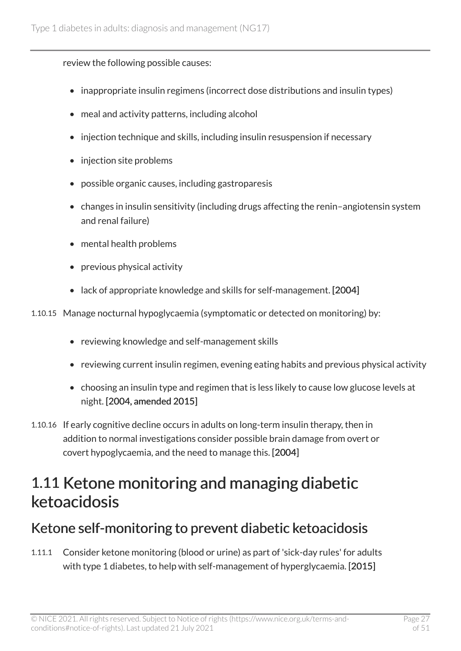review the following possible causes:

- inappropriate insulin regimens (incorrect dose distributions and insulin types)
- meal and activity patterns, including alcohol
- injection technique and skills, including insulin resuspension if necessary
- injection site problems
- possible organic causes, including gastroparesis
- changes in insulin sensitivity (including drugs affecting the renin–angiotensin system and renal failure)
- mental health problems
- previous physical activity
- lack of appropriate knowledge and skills for self-management. [2004]
- 1.10.15 Manage nocturnal hypoglycaemia (symptomatic or detected on monitoring) by:
	- reviewing knowledge and self-management skills
	- reviewing current insulin regimen, evening eating habits and previous physical activity
	- choosing an insulin type and regimen that is less likely to cause low glucose levels at night. [2004, amended 2015]
- 1.10.16 If early cognitive decline occurs in adults on long-term insulin therapy, then in addition to normal investigations consider possible brain damage from overt or covert hypoglycaemia, and the need to manage this. [2004]

## <span id="page-26-0"></span>1.11 Ketone monitoring and managing diabetic ketoacidosis

### Ketone self-monitoring to prevent diabetic ketoacidosis

1.11.1 Consider ketone monitoring (blood or urine) as part of 'sick-day rules' for adults with type 1 diabetes, to help with self-management of hyperglycaemia. [2015]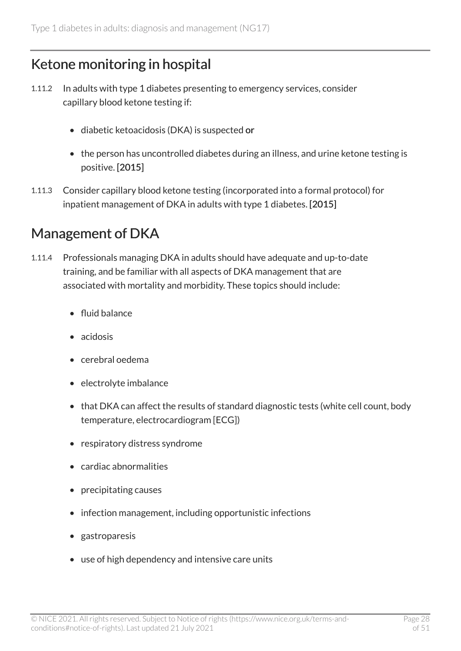### Ketone monitoring in hospital

- 1.11.2 In adults with type 1 diabetes presenting to emergency services, consider capillary blood ketone testing if:
	- diabetic ketoacidosis (DKA) is suspected or
	- the person has uncontrolled diabetes during an illness, and urine ketone testing is positive. [2015]
- 1.11.3 Consider capillary blood ketone testing (incorporated into a formal protocol) for inpatient management of DKA in adults with type 1 diabetes. [2015]

#### Management of DKA

- 1.11.4 Professionals managing DKA in adults should have adequate and up-to-date training, and be familiar with all aspects of DKA management that are associated with mortality and morbidity. These topics should include:
	- fluid balance
	- acidosis
	- cerebral oedema
	- electrolyte imbalance
	- that DKA can affect the results of standard diagnostic tests (white cell count, body temperature, electrocardiogram [ECG])
	- respiratory distress syndrome
	- cardiac abnormalities
	- precipitating causes
	- infection management, including opportunistic infections
	- gastroparesis
	- use of high dependency and intensive care units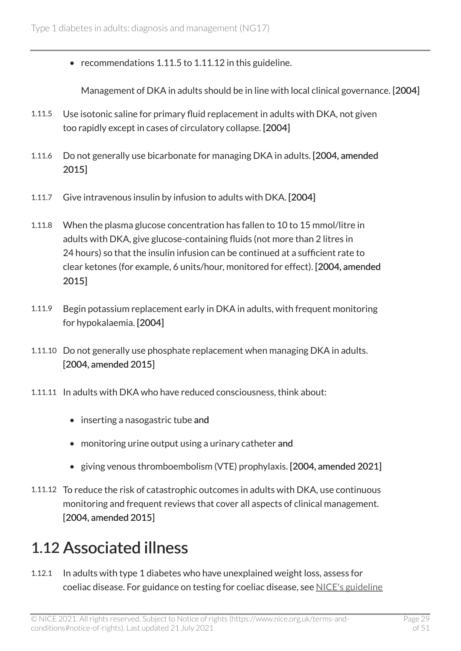• recommendations 1.11.5 to 1.11.12 in this guideline.

Management of DKA in adults should be in line with local clinical governance. [2004]

- 1.11.5 Use isotonic saline for primary fluid replacement in adults with DKA, not given too rapidly except in cases of circulatory collapse. [2004]
- 1.11.6 Do not generally use bicarbonate for managing DKA in adults. [2004, amended 2015]
- 1.11.7 Give intravenous insulin by infusion to adults with DKA. [2004]
- 1.11.8 When the plasma glucose concentration has fallen to 10 to 15 mmol/litre in adults with DKA, give glucose-containing fluids (not more than 2 litres in 24 hours) so that the insulin infusion can be continued at a sufficient rate to clear ketones (for example, 6 units/hour, monitored for effect). [2004, amended 2015]
- 1.11.9 Begin potassium replacement early in DKA in adults, with frequent monitoring for hypokalaemia. [2004]
- 1.11.10 Do not generally use phosphate replacement when managing DKA in adults. [2004, amended 2015]
- 1.11.11 In adults with DKA who have reduced consciousness, think about:
	- inserting a nasogastric tube and
	- monitoring urine output using a urinary catheter and
	- giving venous thromboembolism (VTE) prophylaxis. [2004, amended 2021]
- 1.11.12 To reduce the risk of catastrophic outcomes in adults with DKA, use continuous monitoring and frequent reviews that cover all aspects of clinical management. [2004, amended 2015]

### <span id="page-28-0"></span>1.12 Associated illness

1.12.1 In adults with type 1 diabetes who have unexplained weight loss, assess for coeliac disease. For guidance on testing for coeliac disease, see [NICE's guideline](https://www.nice.org.uk/guidance/ng20)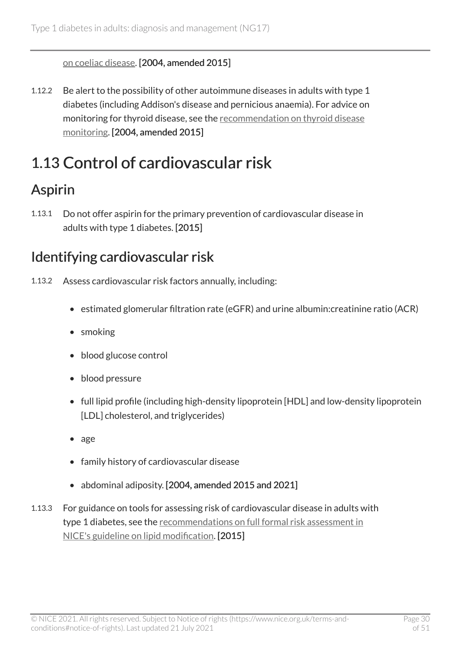[on coeliac disease](https://www.nice.org.uk/guidance/ng20). [2004, amended 2015]

1.12.2 Be alert to the possibility of other autoimmune diseases in adults with type 1 diabetes (including Addison's disease and pernicious anaemia). For advice on monitoring for thyroid disease, see the [recommendation on thyroid disease](#page-38-0) [monitoring](#page-38-0). [2004, amended 2015]

## <span id="page-29-0"></span>1.13 Control of cardiovascular risk

### Aspirin

1.13.1 Do not offer aspirin for the primary prevention of cardiovascular disease in adults with type 1 diabetes. [2015]

### Identifying cardiovascular risk

- 1.13.2 Assess cardiovascular risk factors annually, including:
	- estimated glomerular filtration rate (eGFR) and urine albumin:creatinine ratio (ACR)
	- smoking
	- blood glucose control
	- blood pressure
	- full lipid profile (including high-density lipoprotein [HDL] and low-density lipoprotein [LDL] cholesterol, and triglycerides)
	- age
	- family history of cardiovascular disease
	- abdominal adiposity. [2004, amended 2015 and 2021]
- 1.13.3 For guidance on tools for assessing risk of cardiovascular disease in adults with type 1 diabetes, see the [recommendations on full formal risk assessment in](https://www.nice.org.uk/guidance/cg181/chapter/1-recommendations#identifying-and-assessing-cardiovascular-disease-cvd-risk-2) [NICE's guideline on lipid modification](https://www.nice.org.uk/guidance/cg181/chapter/1-recommendations#identifying-and-assessing-cardiovascular-disease-cvd-risk-2). [2015]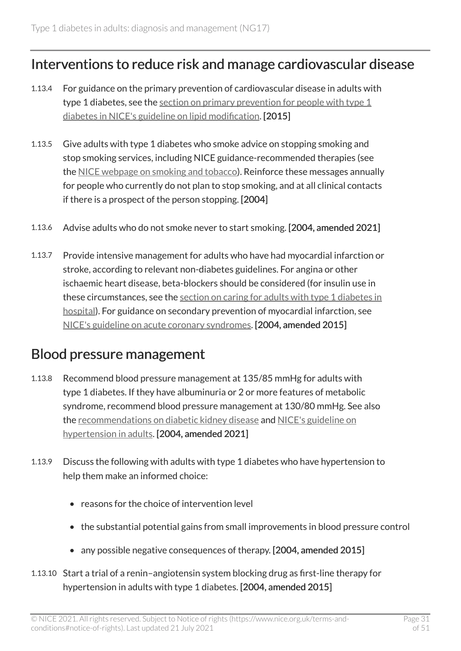#### Interventions to reduce risk and manage cardiovascular disease

- 1.13.4 For guidance on the primary prevention of cardiovascular disease in adults with type 1 diabetes, see the [section on primary prevention for people with type](https://www.nice.org.uk/guidance/cg181/chapter/1-recommendations#primary-prevention-for-people-with-type-1-diabetes) 1 [diabetes in NICE's guideline on lipid modification](https://www.nice.org.uk/guidance/cg181/chapter/1-recommendations#primary-prevention-for-people-with-type-1-diabetes). [2015]
- 1.13.5 Give adults with type 1 diabetes who smoke advice on stopping smoking and stop smoking services, including NICE guidance-recommended therapies (see the [NICE webpage on smoking and tobacco](https://www.nice.org.uk/guidance/lifestyle-and-wellbeing/smoking-and-tobacco)). Reinforce these messages annually for people who currently do not plan to stop smoking, and at all clinical contacts if there is a prospect of the person stopping. [2004]
- 1.13.6 Advise adults who do not smoke never to start smoking. [2004, amended 2021]
- 1.13.7 Provide intensive management for adults who have had myocardial infarction or stroke, according to relevant non-diabetes guidelines. For angina or other ischaemic heart disease, beta-blockers should be considered (for insulin use in these circumstances, see the [section on caring for adults with type](#page-31-0) 1 diabetes in [hospital](#page-31-0)). For guidance on secondary prevention of myocardial infarction, see [NICE's guideline on acute coronary syndromes](https://www.nice.org.uk/guidance/ng185). [2004, amended 2015]

#### Blood pressure management

- 1.13.8 Recommend blood pressure management at 135/85 mmHg for adults with type 1 diabetes. If they have albuminuria or 2 or more features of metabolic syndrome, recommend blood pressure management at 130/80 mmHg. See also the [recommendations on diabetic kidney disease](#page-33-1) and [NICE's guideline on](https://www.nice.org.uk/guidance/ng136) [hypertension in adults](https://www.nice.org.uk/guidance/ng136). [2004, amended 2021]
- 1.13.9 Discuss the following with adults with type 1 diabetes who have hypertension to help them make an informed choice:
	- reasons for the choice of intervention level
	- the substantial potential gains from small improvements in blood pressure control
	- any possible negative consequences of therapy. [2004, amended 2015]
- 1.13.10 Start a trial of a renin–angiotensin system blocking drug as first-line therapy for hypertension in adults with type 1 diabetes. [2004, amended 2015]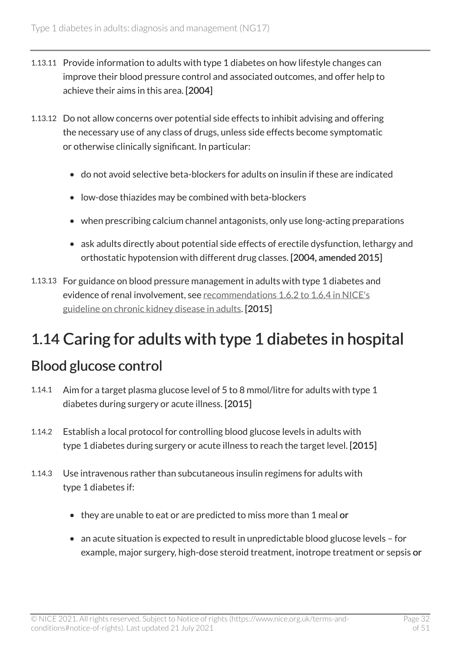- 1.13.11 Provide information to adults with type 1 diabetes on how lifestyle changes can improve their blood pressure control and associated outcomes, and offer help to achieve their aims in this area. [2004]
- 1.13.12 Do not allow concerns over potential side effects to inhibit advising and offering the necessary use of any class of drugs, unless side effects become symptomatic or otherwise clinically significant. In particular:
	- do not avoid selective beta-blockers for adults on insulin if these are indicated
	- low-dose thiazides may be combined with beta-blockers
	- when prescribing calcium channel antagonists, only use long-acting preparations
	- ask adults directly about potential side effects of erectile dysfunction, lethargy and orthostatic hypotension with different drug classes. [2004, amended 2015]
- 1.13.13 For guidance on blood pressure management in adults with type 1 diabetes and evidence of renal involvement, see recommendations [1.6.2 to 1.6.4 in NICE's](http://www.nice.org.uk/guidance/cg182/chapter/1-Recommendations#pharmacotherapy)  [guideline on chronic kidney disease in adults](http://www.nice.org.uk/guidance/cg182/chapter/1-Recommendations#pharmacotherapy). [2015]

## <span id="page-31-0"></span>1.14 Caring for adults with type 1 diabetes in hospital

#### Blood glucose control

- 1.14.1 Aim for a target plasma glucose level of 5 to 8 mmol/litre for adults with type 1 diabetes during surgery or acute illness. [2015]
- 1.14.2 Establish a local protocol for controlling blood glucose levels in adults with type 1 diabetes during surgery or acute illness to reach the target level. [2015]
- 1.14.3 Use intravenous rather than subcutaneous insulin regimens for adults with type 1 diabetes if:
	- they are unable to eat or are predicted to miss more than 1 meal or
	- an acute situation is expected to result in unpredictable blood glucose levels for example, major surgery, high-dose steroid treatment, inotrope treatment or sepsis or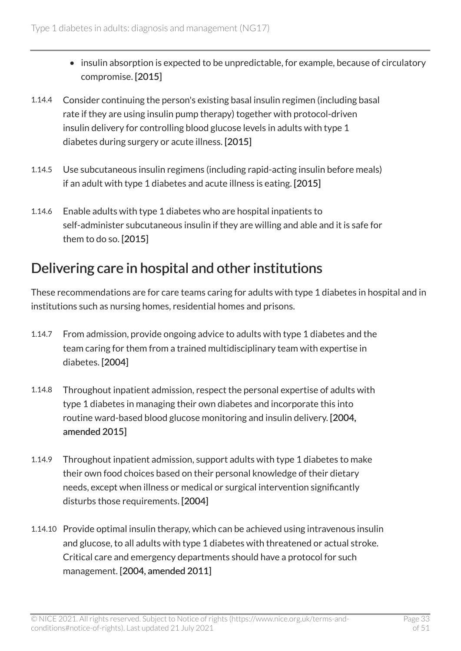- insulin absorption is expected to be unpredictable, for example, because of circulatory compromise. [2015]
- 1.14.4 Consider continuing the person's existing basal insulin regimen (including basal rate if they are using insulin pump therapy) together with protocol-driven insulin delivery for controlling blood glucose levels in adults with type 1 diabetes during surgery or acute illness. [2015]
- 1.14.5 Use subcutaneous insulin regimens (including rapid-acting insulin before meals) if an adult with type 1 diabetes and acute illness is eating. [2015]
- 1.14.6 Enable adults with type 1 diabetes who are hospital inpatients to self-administer subcutaneous insulin if they are willing and able and it is safe for them to do so. [2015]

#### Delivering care in hospital and other institutions

These recommendations are for care teams caring for adults with type 1 diabetes in hospital and in institutions such as nursing homes, residential homes and prisons.

- 1.14.7 From admission, provide ongoing advice to adults with type 1 diabetes and the team caring for them from a trained multidisciplinary team with expertise in diabetes. [2004]
- 1.14.8 Throughout inpatient admission, respect the personal expertise of adults with type 1 diabetes in managing their own diabetes and incorporate this into routine ward-based blood glucose monitoring and insulin delivery. [2004, amended 2015]
- 1.14.9 Throughout inpatient admission, support adults with type 1 diabetes to make their own food choices based on their personal knowledge of their dietary needs, except when illness or medical or surgical intervention significantly disturbs those requirements. [2004]
- 1.14.10 Provide optimal insulin therapy, which can be achieved using intravenous insulin and glucose, to all adults with type 1 diabetes with threatened or actual stroke. Critical care and emergency departments should have a protocol for such management. [2004, amended 2011]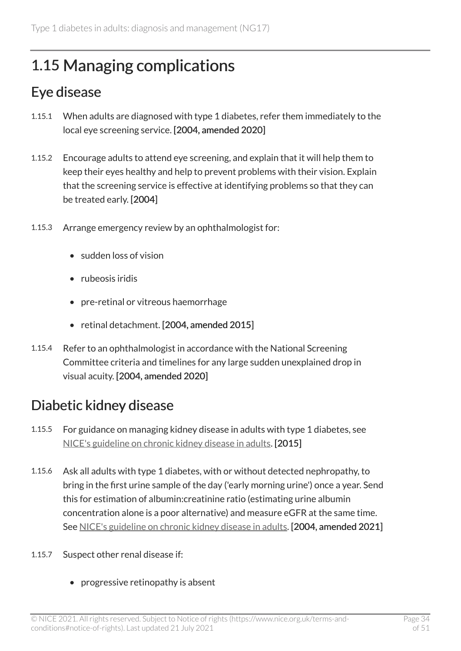### <span id="page-33-0"></span>1.15 Managing complications

### Eye disease

- 1.15.1 When adults are diagnosed with type 1 diabetes, refer them immediately to the local eye screening service. [2004, amended 2020]
- 1.15.2 Encourage adults to attend eye screening, and explain that it will help them to keep their eyes healthy and help to prevent problems with their vision. Explain that the screening service is effective at identifying problems so that they can be treated early. [2004]
- 1.15.3 Arrange emergency review by an ophthalmologist for:
	- sudden loss of vision
	- rubeosis iridis
	- pre-retinal or vitreous haemorrhage
	- retinal detachment. [2004, amended 2015]
- 1.15.4 Refer to an ophthalmologist in accordance with the National Screening Committee criteria and timelines for any large sudden unexplained drop in visual acuity. [2004, amended 2020]

### <span id="page-33-1"></span>Diabetic kidney disease

- 1.15.5 For guidance on managing kidney disease in adults with type 1 diabetes, see [NICE's guideline on chronic kidney disease in adults.](https://www.nice.org.uk/guidance/cg182) [2015]
- 1.15.6 Ask all adults with type 1 diabetes, with or without detected nephropathy, to bring in the first urine sample of the day ('early morning urine') once a year. Send this for estimation of albumin:creatinine ratio (estimating urine albumin concentration alone is a poor alternative) and measure eGFR at the same time. See [NICE's guideline on chronic kidney disease in adults.](https://www.nice.org.uk/guidance/cg182) [2004, amended 2021]

#### 1.15.7 Suspect other renal disease if:

• progressive retinopathy is absent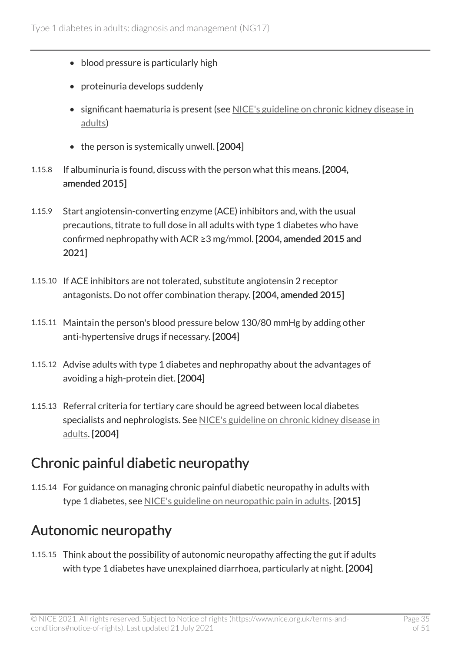- blood pressure is particularly high
- proteinuria develops suddenly
- significant haematuria is present (see [NICE's guideline on chronic kidney disease in](https://www.nice.org.uk/guidance/cg182) [adults\)](https://www.nice.org.uk/guidance/cg182)
- the person is systemically unwell. [2004]
- 1.15.8 If albuminuria is found, discuss with the person what this means. [2004, amended 2015]
- 1.15.9 Start angiotensin-converting enzyme (ACE) inhibitors and, with the usual precautions, titrate to full dose in all adults with type 1 diabetes who have confirmed nephropathy with ACR ≥3 mg/mmol. [2004, amended 2015 and 2021]
- 1.15.10 If ACE inhibitors are not tolerated, substitute angiotensin 2 receptor antagonists. Do not offer combination therapy. [2004, amended 2015]
- 1.15.11 Maintain the person's blood pressure below 130/80 mmHg by adding other anti-hypertensive drugs if necessary. [2004]
- 1.15.12 Advise adults with type 1 diabetes and nephropathy about the advantages of avoiding a high-protein diet. [2004]
- 1.15.13 Referral criteria for tertiary care should be agreed between local diabetes specialists and nephrologists. See [NICE's guideline on chronic kidney disease in](https://www.nice.org.uk/guidance/cg182)  [adults](https://www.nice.org.uk/guidance/cg182). [2004]

### Chronic painful diabetic neuropathy

1.15.14 For guidance on managing chronic painful diabetic neuropathy in adults with type 1 diabetes, see [NICE's guideline on neuropathic pain in adults](https://www.nice.org.uk/guidance/cg173). [2015]

### Autonomic neuropathy

1.15.15 Think about the possibility of autonomic neuropathy affecting the gut if adults with type 1 diabetes have unexplained diarrhoea, particularly at night. [2004]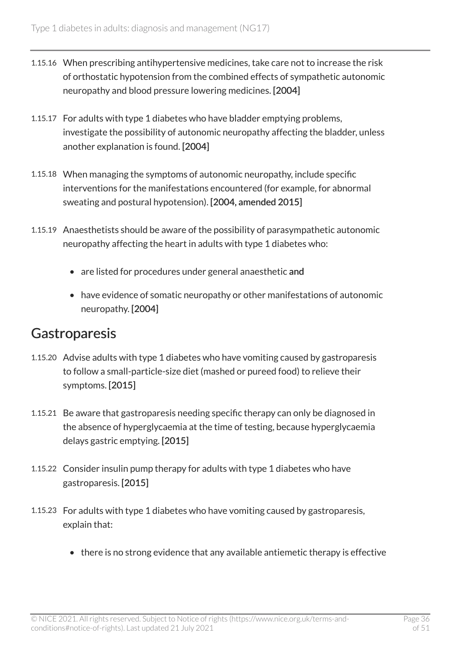- 1.15.16 When prescribing antihypertensive medicines, take care not to increase the risk of orthostatic hypotension from the combined effects of sympathetic autonomic neuropathy and blood pressure lowering medicines. [2004]
- 1.15.17 For adults with type 1 diabetes who have bladder emptying problems, investigate the possibility of autonomic neuropathy affecting the bladder, unless another explanation is found. [2004]
- 1.15.18 When managing the symptoms of autonomic neuropathy, include specific interventions for the manifestations encountered (for example, for abnormal sweating and postural hypotension). [2004, amended 2015]
- 1.15.19 Anaesthetists should be aware of the possibility of parasympathetic autonomic neuropathy affecting the heart in adults with type 1 diabetes who:
	- are listed for procedures under general anaesthetic and
	- have evidence of somatic neuropathy or other manifestations of autonomic neuropathy. [2004]

#### **Gastroparesis**

- 1.15.20 Advise adults with type 1 diabetes who have vomiting caused by gastroparesis to follow a small-particle-size diet (mashed or pureed food) to relieve their symptoms. [2015]
- 1.15.21 Be aware that gastroparesis needing specific therapy can only be diagnosed in the absence of hyperglycaemia at the time of testing, because hyperglycaemia delays gastric emptying. [2015]
- 1.15.22 Consider insulin pump therapy for adults with type 1 diabetes who have gastroparesis. [2015]
- 1.15.23 For adults with type 1 diabetes who have vomiting caused by gastroparesis, explain that:
	- there is no strong evidence that any available antiemetic therapy is effective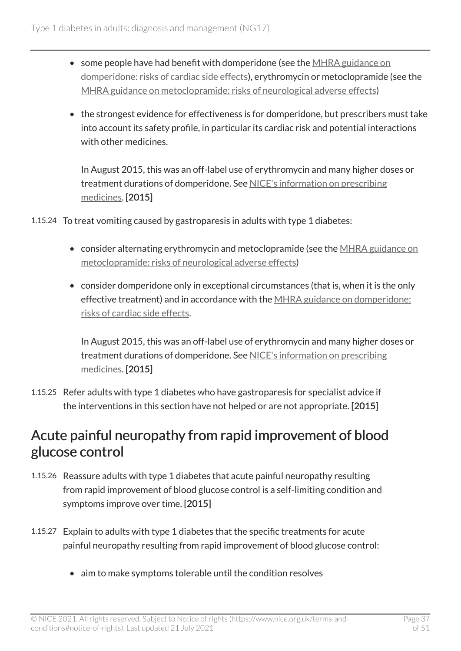- some people have had benefit with domperidone (see the [MHRA guidance on](https://www.gov.uk/drug-safety-update/domperidone-risks-of-cardiac-side-effects) [domperidone: risks of cardiac side effects](https://www.gov.uk/drug-safety-update/domperidone-risks-of-cardiac-side-effects)), erythromycin or metoclopramide (see the [MHRA guidance on metoclopramide: risks of neurological adverse effects](https://www.gov.uk/drug-safety-update/metoclopramide-risk-of-neurological-adverse-effects))
- the strongest evidence for effectiveness is for domperidone, but prescribers must take into account its safety profile, in particular its cardiac risk and potential interactions with other medicines.

In August 2015, this was an off-label use of erythromycin and many higher doses or treatment durations of domperidone. See [NICE's information on prescribing](https://www.nice.org.uk/about/what-we-do/our-programmes/nice-guidance/nice-guidelines/making-decisions-using-nice-guidelines#prescribing-medicines)  [medicines](https://www.nice.org.uk/about/what-we-do/our-programmes/nice-guidance/nice-guidelines/making-decisions-using-nice-guidelines#prescribing-medicines). [2015]

1.15.24 To treat vomiting caused by gastroparesis in adults with type 1 diabetes:

- consider alternating erythromycin and metoclopramide (see the [MHRA guidance on](https://www.gov.uk/drug-safety-update/metoclopramide-risk-of-neurological-adverse-effects) [metoclopramide: risks of neurological adverse effects\)](https://www.gov.uk/drug-safety-update/metoclopramide-risk-of-neurological-adverse-effects)
- consider domperidone only in exceptional circumstances (that is, when it is the only effective treatment) and in accordance with the [MHRA guidance on domperidone:](https://www.gov.uk/drug-safety-update/domperidone-risks-of-cardiac-side-effects) [risks of cardiac side effects](https://www.gov.uk/drug-safety-update/domperidone-risks-of-cardiac-side-effects).

In August 2015, this was an off-label use of erythromycin and many higher doses or treatment durations of domperidone. See [NICE's information on prescribing](https://www.nice.org.uk/about/what-we-do/our-programmes/nice-guidance/nice-guidelines/making-decisions-using-nice-guidelines#prescribing-medicines)  [medicines](https://www.nice.org.uk/about/what-we-do/our-programmes/nice-guidance/nice-guidelines/making-decisions-using-nice-guidelines#prescribing-medicines). [2015]

1.15.25 Refer adults with type 1 diabetes who have gastroparesis for specialist advice if the interventions in this section have not helped or are not appropriate. [2015]

#### Acute painful neuropathy from rapid improvement of blood glucose control

- 1.15.26 Reassure adults with type 1 diabetes that acute painful neuropathy resulting from rapid improvement of blood glucose control is a self-limiting condition and symptoms improve over time. [2015]
- 1.15.27 Explain to adults with type 1 diabetes that the specific treatments for acute painful neuropathy resulting from rapid improvement of blood glucose control:
	- aim to make symptoms tolerable until the condition resolves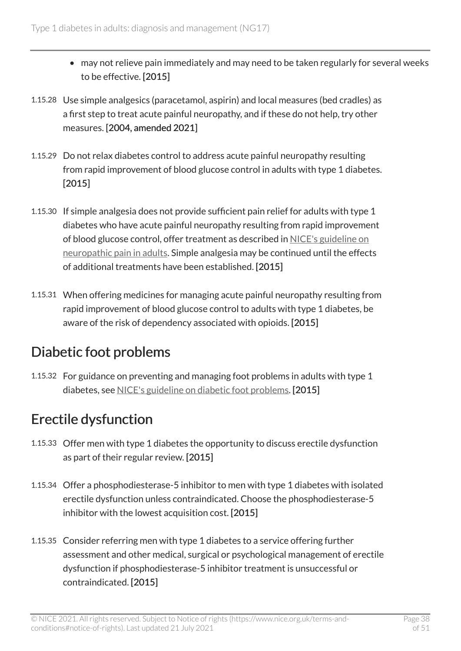- may not relieve pain immediately and may need to be taken regularly for several weeks to be effective. [2015]
- 1.15.28 Use simple analgesics (paracetamol, aspirin) and local measures (bed cradles) as a first step to treat acute painful neuropathy, and if these do not help, try other measures. [2004, amended 2021]
- 1.15.29 Do not relax diabetes control to address acute painful neuropathy resulting from rapid improvement of blood glucose control in adults with type 1 diabetes. [2015]
- 1.15.30 If simple analgesia does not provide sufficient pain relief for adults with type 1 diabetes who have acute painful neuropathy resulting from rapid improvement of blood glucose control, offer treatment as described in [NICE's guideline on](https://www.nice.org.uk/guidance/cg173) [neuropathic pain in adults](https://www.nice.org.uk/guidance/cg173). Simple analgesia may be continued until the effects of additional treatments have been established. [2015]
- 1.15.31 When offering medicines for managing acute painful neuropathy resulting from rapid improvement of blood glucose control to adults with type 1 diabetes, be aware of the risk of dependency associated with opioids. [2015]

### Diabetic foot problems

1.15.32 For guidance on preventing and managing foot problems in adults with type 1 diabetes, see [NICE's guideline on diabetic foot problems.](https://www.nice.org.uk/guidance/ng19) [2015]

### Erectile dysfunction

- 1.15.33 Offer men with type 1 diabetes the opportunity to discuss erectile dysfunction as part of their regular review. [2015]
- 1.15.34 Offer a phosphodiesterase-5 inhibitor to men with type 1 diabetes with isolated erectile dysfunction unless contraindicated. Choose the phosphodiesterase-5 inhibitor with the lowest acquisition cost. [2015]
- 1.15.35 Consider referring men with type 1 diabetes to a service offering further assessment and other medical, surgical or psychological management of erectile dysfunction if phosphodiesterase-5 inhibitor treatment is unsuccessful or contraindicated. [2015]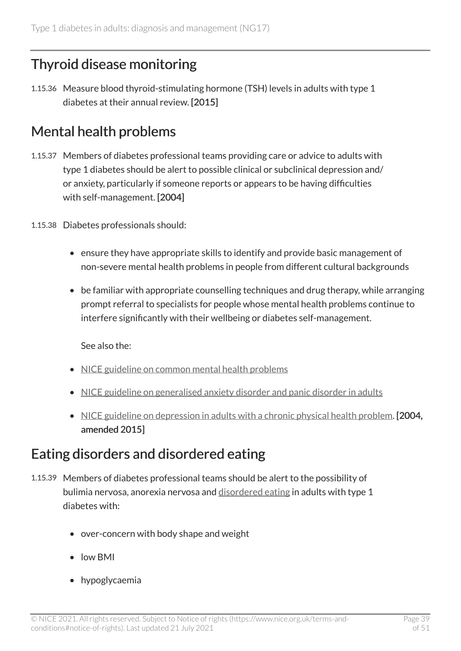### <span id="page-38-0"></span>Thyroid disease monitoring

1.15.36 Measure blood thyroid-stimulating hormone (TSH) levels in adults with type 1 diabetes at their annual review. [2015]

### Mental health problems

- 1.15.37 Members of diabetes professional teams providing care or advice to adults with type 1 diabetes should be alert to possible clinical or subclinical depression and/ or anxiety, particularly if someone reports or appears to be having difficulties with self-management. [2004]
- 1.15.38 Diabetes professionals should:
	- ensure they have appropriate skills to identify and provide basic management of non-severe mental health problems in people from different cultural backgrounds
	- be familiar with appropriate counselling techniques and drug therapy, while arranging prompt referral to specialists for people whose mental health problems continue to interfere significantly with their wellbeing or diabetes self-management.

See also the:

- [NICE guideline on common mental health problems](https://www.nice.org.uk/guidance/cg123)
- [NICE guideline on generalised anxiety disorder and panic disorder in adults](https://www.nice.org.uk/guidance/cg113)
- [NICE guideline on depression in adults with a chronic physical health problem](https://www.nice.org.uk/guidance/cg91). [2004, amended 2015]

#### Eating disorders and disordered eating

- 1.15.39 Members of diabetes professional teams should be alert to the possibility of bulimia nervosa, anorexia nervosa and [disordered eating](#page-39-2) in adults with type 1 diabetes with:
	- over-concern with body shape and weight
	- low BMI
	- hypoglycaemia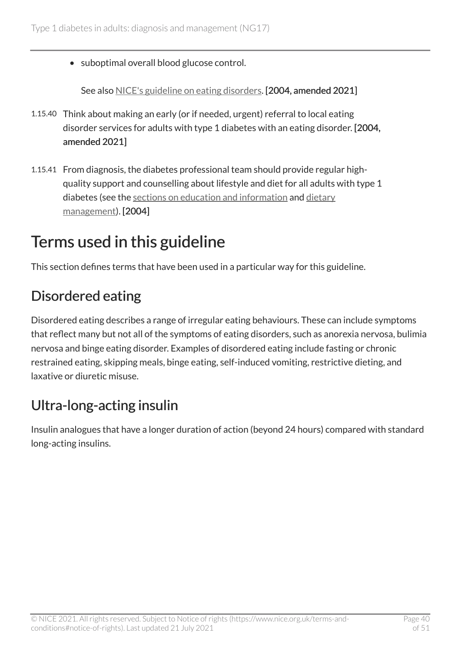• suboptimal overall blood glucose control.

See also [NICE's guideline on eating disorders.](https://www.nice.org.uk/guidance/ng69) [2004, amended 2021]

- 1.15.40 Think about making an early (or if needed, urgent) referral to local eating disorder services for adults with type 1 diabetes with an eating disorder. [2004, amended 2021]
- 1.15.41 From diagnosis, the diabetes professional team should provide regular highquality support and counselling about lifestyle and diet for all adults with type 1 diabetes (see the [sections on education and information](#page-10-0) and [dietary](#page-12-0) [management\)](#page-12-0). [2004]

## <span id="page-39-0"></span>Terms used in this guideline

This section defines terms that have been used in a particular way for this guideline.

### <span id="page-39-2"></span>Disordered eating

Disordered eating describes a range of irregular eating behaviours. These can include symptoms that reflect many but not all of the symptoms of eating disorders, such as anorexia nervosa, bulimia nervosa and binge eating disorder. Examples of disordered eating include fasting or chronic restrained eating, skipping meals, binge eating, self-induced vomiting, restrictive dieting, and laxative or diuretic misuse.

### <span id="page-39-1"></span>Ultra-long-acting insulin

Insulin analogues that have a longer duration of action (beyond 24 hours) compared with standard long-acting insulins.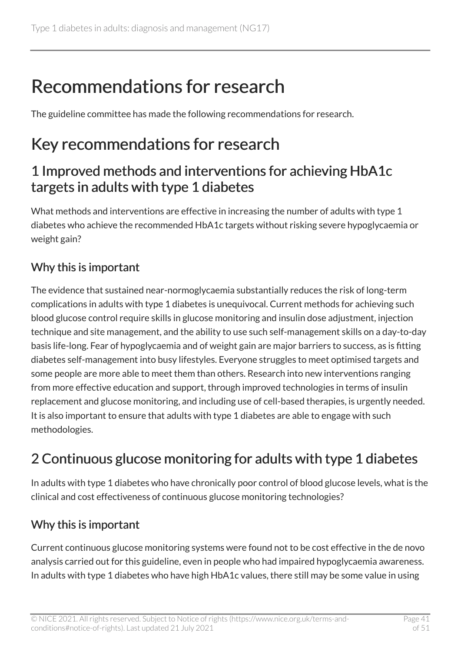# <span id="page-40-0"></span>Recommendations for research

The guideline committee has made the following recommendations for research.

## <span id="page-40-1"></span>Key recommendations for research

#### 1 Improved methods and interventions for achieving HbA1c targets in adults with type 1 diabetes

What methods and interventions are effective in increasing the number of adults with type 1 diabetes who achieve the recommended HbA1c targets without risking severe hypoglycaemia or weight gain?

#### Why this is important

The evidence that sustained near-normoglycaemia substantially reduces the risk of long-term complications in adults with type 1 diabetes is unequivocal. Current methods for achieving such blood glucose control require skills in glucose monitoring and insulin dose adjustment, injection technique and site management, and the ability to use such self-management skills on a day-to-day basis life-long. Fear of hypoglycaemia and of weight gain are major barriers to success, as is fitting diabetes self-management into busy lifestyles. Everyone struggles to meet optimised targets and some people are more able to meet them than others. Research into new interventions ranging from more effective education and support, through improved technologies in terms of insulin replacement and glucose monitoring, and including use of cell-based therapies, is urgently needed. It is also important to ensure that adults with type 1 diabetes are able to engage with such methodologies.

### 2 Continuous glucose monitoring for adults with type 1 diabetes

In adults with type 1 diabetes who have chronically poor control of blood glucose levels, what is the clinical and cost effectiveness of continuous glucose monitoring technologies?

#### Why this is important

Current continuous glucose monitoring systems were found not to be cost effective in the de novo analysis carried out for this guideline, even in people who had impaired hypoglycaemia awareness. In adults with type 1 diabetes who have high HbA1c values, there still may be some value in using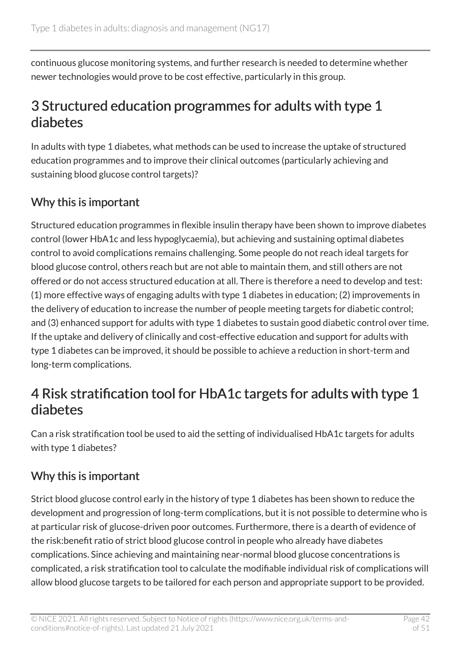continuous glucose monitoring systems, and further research is needed to determine whether newer technologies would prove to be cost effective, particularly in this group.

#### 3 Structured education programmes for adults with type 1 diabetes

In adults with type 1 diabetes, what methods can be used to increase the uptake of structured education programmes and to improve their clinical outcomes (particularly achieving and sustaining blood glucose control targets)?

#### Why this is important

Structured education programmes in flexible insulin therapy have been shown to improve diabetes control (lower HbA1c and less hypoglycaemia), but achieving and sustaining optimal diabetes control to avoid complications remains challenging. Some people do not reach ideal targets for blood glucose control, others reach but are not able to maintain them, and still others are not offered or do not access structured education at all. There is therefore a need to develop and test: (1) more effective ways of engaging adults with type 1 diabetes in education; (2) improvements in the delivery of education to increase the number of people meeting targets for diabetic control; and (3) enhanced support for adults with type 1 diabetes to sustain good diabetic control over time. If the uptake and delivery of clinically and cost-effective education and support for adults with type 1 diabetes can be improved, it should be possible to achieve a reduction in short-term and long-term complications.

#### 4 Risk stratification tool for HbA1c targets for adults with type 1 diabetes

Can a risk stratification tool be used to aid the setting of individualised HbA1c targets for adults with type 1 diabetes?

#### Why this is important

Strict blood glucose control early in the history of type 1 diabetes has been shown to reduce the development and progression of long-term complications, but it is not possible to determine who is at particular risk of glucose-driven poor outcomes. Furthermore, there is a dearth of evidence of the risk:benefit ratio of strict blood glucose control in people who already have diabetes complications. Since achieving and maintaining near-normal blood glucose concentrations is complicated, a risk stratification tool to calculate the modifiable individual risk of complications will allow blood glucose targets to be tailored for each person and appropriate support to be provided.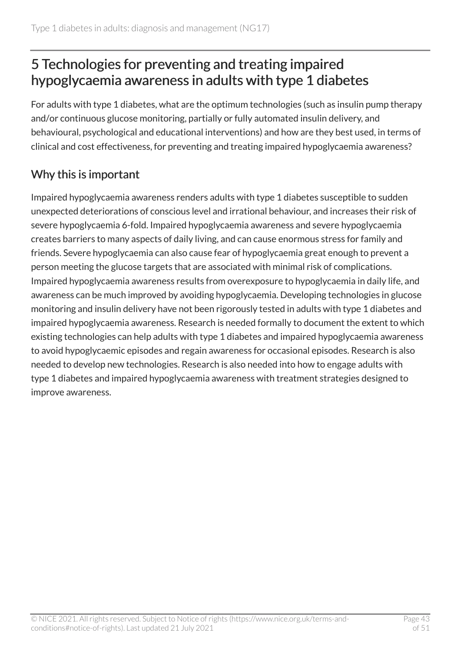### 5 Technologies for preventing and treating impaired hypoglycaemia awareness in adults with type 1 diabetes

For adults with type 1 diabetes, what are the optimum technologies (such as insulin pump therapy and/or continuous glucose monitoring, partially or fully automated insulin delivery, and behavioural, psychological and educational interventions) and how are they best used, in terms of clinical and cost effectiveness, for preventing and treating impaired hypoglycaemia awareness?

#### Why this is important

Impaired hypoglycaemia awareness renders adults with type 1 diabetes susceptible to sudden unexpected deteriorations of conscious level and irrational behaviour, and increases their risk of severe hypoglycaemia 6-fold. Impaired hypoglycaemia awareness and severe hypoglycaemia creates barriers to many aspects of daily living, and can cause enormous stress for family and friends. Severe hypoglycaemia can also cause fear of hypoglycaemia great enough to prevent a person meeting the glucose targets that are associated with minimal risk of complications. Impaired hypoglycaemia awareness results from overexposure to hypoglycaemia in daily life, and awareness can be much improved by avoiding hypoglycaemia. Developing technologies in glucose monitoring and insulin delivery have not been rigorously tested in adults with type 1 diabetes and impaired hypoglycaemia awareness. Research is needed formally to document the extent to which existing technologies can help adults with type 1 diabetes and impaired hypoglycaemia awareness to avoid hypoglycaemic episodes and regain awareness for occasional episodes. Research is also needed to develop new technologies. Research is also needed into how to engage adults with type 1 diabetes and impaired hypoglycaemia awareness with treatment strategies designed to improve awareness.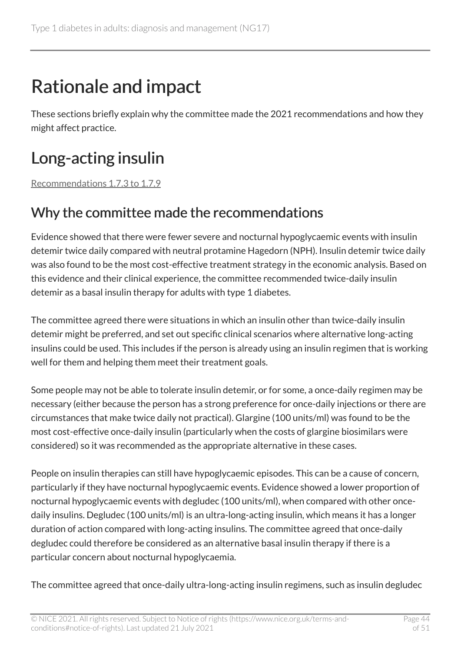# <span id="page-43-0"></span>Rationale and impact

These sections briefly explain why the committee made the 2021 recommendations and how they might affect practice.

## <span id="page-43-1"></span>Long-acting insulin

[Recommendations 1.7.3 to 1.7.9](#page-19-1) 

### <span id="page-43-2"></span>Why the committee made the recommendations

Evidence showed that there were fewer severe and nocturnal hypoglycaemic events with insulin detemir twice daily compared with neutral protamine Hagedorn (NPH). Insulin detemir twice daily was also found to be the most cost-effective treatment strategy in the economic analysis. Based on this evidence and their clinical experience, the committee recommended twice-daily insulin detemir as a basal insulin therapy for adults with type 1 diabetes.

The committee agreed there were situations in which an insulin other than twice-daily insulin detemir might be preferred, and set out specific clinical scenarios where alternative long-acting insulins could be used. This includes if the person is already using an insulin regimen that is working well for them and helping them meet their treatment goals.

Some people may not be able to tolerate insulin detemir, or for some, a once-daily regimen may be necessary (either because the person has a strong preference for once-daily injections or there are circumstances that make twice daily not practical). Glargine (100 units/ml) was found to be the most cost-effective once-daily insulin (particularly when the costs of glargine biosimilars were considered) so it was recommended as the appropriate alternative in these cases.

People on insulin therapies can still have hypoglycaemic episodes. This can be a cause of concern, particularly if they have nocturnal hypoglycaemic events. Evidence showed a lower proportion of nocturnal hypoglycaemic events with degludec (100 units/ml), when compared with other oncedaily insulins. Degludec (100 units/ml) is an ultra-long-acting insulin, which means it has a longer duration of action compared with long-acting insulins. The committee agreed that once-daily degludec could therefore be considered as an alternative basal insulin therapy if there is a particular concern about nocturnal hypoglycaemia.

The committee agreed that once-daily ultra-long-acting insulin regimens, such as insulin degludec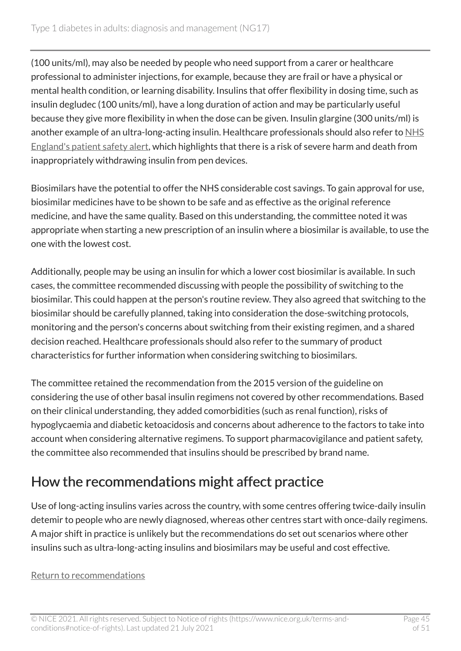(100 units/ml), may also be needed by people who need support from a carer or healthcare professional to administer injections, for example, because they are frail or have a physical or mental health condition, or learning disability. Insulins that offer flexibility in dosing time, such as insulin degludec (100 units/ml), have a long duration of action and may be particularly useful because they give more flexibility in when the dose can be given. Insulin glargine (300 units/ml) is another example of an ultra-long-acting insulin. Healthcare professionals should also refer to NHS [England's patient safety alert,](https://www.england.nhs.uk/publication/patent-safety-alert-risk-severe-harm-and-death-withdrawing-insulin-pen-devices/) which highlights that there is a risk of severe harm and death from inappropriately withdrawing insulin from pen devices.

Biosimilars have the potential to offer the NHS considerable cost savings. To gain approval for use, biosimilar medicines have to be shown to be safe and as effective as the original reference medicine, and have the same quality. Based on this understanding, the committee noted it was appropriate when starting a new prescription of an insulin where a biosimilar is available, to use the one with the lowest cost.

Additionally, people may be using an insulin for which a lower cost biosimilar is available. In such cases, the committee recommended discussing with people the possibility of switching to the biosimilar. This could happen at the person's routine review. They also agreed that switching to the biosimilar should be carefully planned, taking into consideration the dose-switching protocols, monitoring and the person's concerns about switching from their existing regimen, and a shared decision reached. Healthcare professionals should also refer to the summary of product characteristics for further information when considering switching to biosimilars.

The committee retained the recommendation from the 2015 version of the guideline on considering the use of other basal insulin regimens not covered by other recommendations. Based on their clinical understanding, they added comorbidities (such as renal function), risks of hypoglycaemia and diabetic ketoacidosis and concerns about adherence to the factors to take into account when considering alternative regimens. To support pharmacovigilance and patient safety, the committee also recommended that insulins should be prescribed by brand name.

### How the recommendations might affect practice

Use of long-acting insulins varies across the country, with some centres offering twice-daily insulin detemir to people who are newly diagnosed, whereas other centres start with once-daily regimens. A major shift in practice is unlikely but the recommendations do set out scenarios where other insulins such as ultra-long-acting insulins and biosimilars may be useful and cost effective.

#### [Return to recommendations](#page-19-1)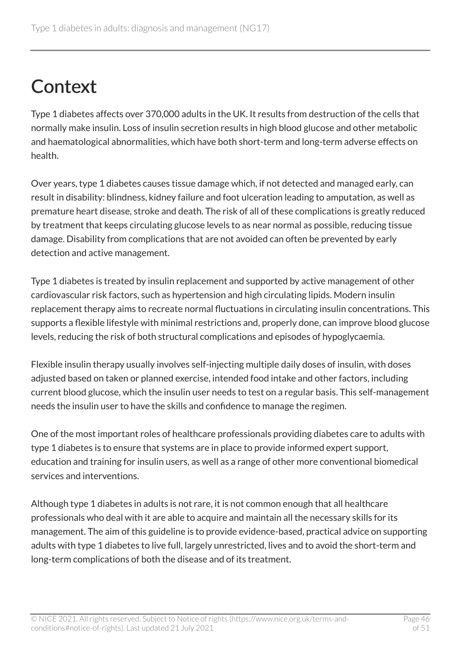# <span id="page-45-0"></span>**Context**

Type 1 diabetes affects over 370,000 adults in the UK. It results from destruction of the cells that normally make insulin. Loss of insulin secretion results in high blood glucose and other metabolic and haematological abnormalities, which have both short-term and long-term adverse effects on health.

Over years, type 1 diabetes causes tissue damage which, if not detected and managed early, can result in disability: blindness, kidney failure and foot ulceration leading to amputation, as well as premature heart disease, stroke and death. The risk of all of these complications is greatly reduced by treatment that keeps circulating glucose levels to as near normal as possible, reducing tissue damage. Disability from complications that are not avoided can often be prevented by early detection and active management.

Type 1 diabetes is treated by insulin replacement and supported by active management of other cardiovascular risk factors, such as hypertension and high circulating lipids. Modern insulin replacement therapy aims to recreate normal fluctuations in circulating insulin concentrations. This supports a flexible lifestyle with minimal restrictions and, properly done, can improve blood glucose levels, reducing the risk of both structural complications and episodes of hypoglycaemia.

Flexible insulin therapy usually involves self-injecting multiple daily doses of insulin, with doses adjusted based on taken or planned exercise, intended food intake and other factors, including current blood glucose, which the insulin user needs to test on a regular basis. This self-management needs the insulin user to have the skills and confidence to manage the regimen.

One of the most important roles of healthcare professionals providing diabetes care to adults with type 1 diabetes is to ensure that systems are in place to provide informed expert support, education and training for insulin users, as well as a range of other more conventional biomedical services and interventions.

Although type 1 diabetes in adults is not rare, it is not common enough that all healthcare professionals who deal with it are able to acquire and maintain all the necessary skills for its management. The aim of this guideline is to provide evidence-based, practical advice on supporting adults with type 1 diabetes to live full, largely unrestricted, lives and to avoid the short-term and long-term complications of both the disease and of its treatment.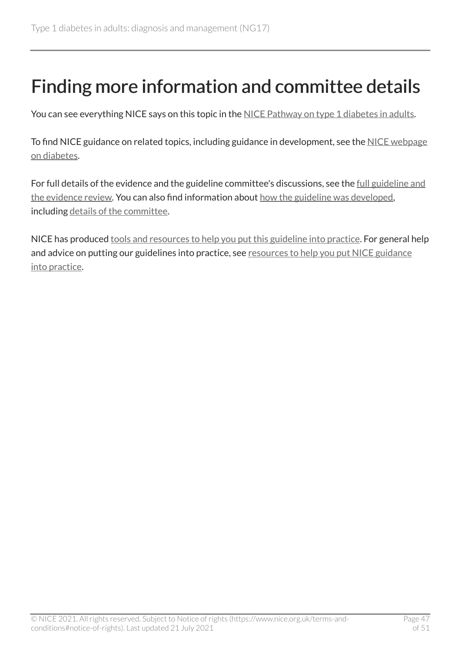# <span id="page-46-0"></span>Finding more information and committee details

You can see everything NICE says on this topic in the [NICE Pathway on type](https://pathways.nice.org.uk/pathways/type-1-diabetes-in-adults) 1 diabetes in adults.

To find NICE guidance on related topics, including guidance in development, see the [NICE webpage](https://www.nice.org.uk/guidance/conditions-and-diseases/diabetes-and-other-endocrinal--nutritional-and-metabolic-conditions/diabetes) [on diabetes](https://www.nice.org.uk/guidance/conditions-and-diseases/diabetes-and-other-endocrinal--nutritional-and-metabolic-conditions/diabetes).

For full details of the evidence and the guideline committee's discussions, see the [full guideline and](https://www.nice.org.uk/Guidance/NG17/evidence)  [the evidence review.](https://www.nice.org.uk/Guidance/NG17/evidence) You can also find information about [how the guideline was developed,](https://www.nice.org.uk/Guidance/NG17/documents) including [details of the committee.](https://www.nice.org.uk/guidance/NG17/documents/committee-member-list-2)

NICE has produced [tools and resources to help you put this guideline into practice.](https://www.nice.org.uk/guidance/ng17/resources) For general help and advice on putting our guidelines into practice, see [resources to help you put NICE guidance](https://www.nice.org.uk/about/what-we-do/into-practice/resources-help-put-guidance-into-practice) [into practice.](https://www.nice.org.uk/about/what-we-do/into-practice/resources-help-put-guidance-into-practice)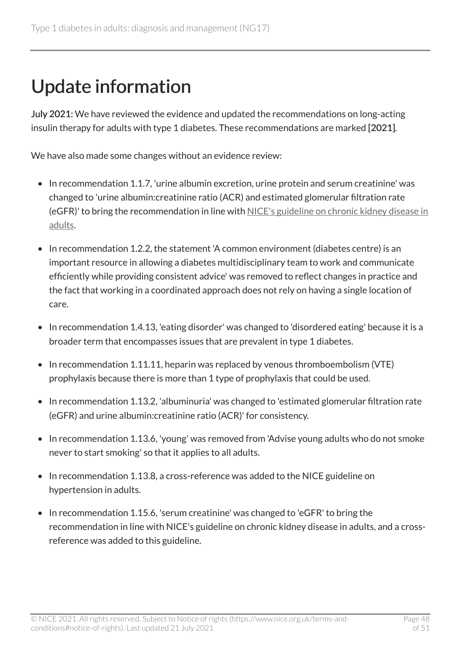# <span id="page-47-0"></span>Update information

July 2021: We have reviewed the evidence and updated the recommendations on long-acting insulin therapy for adults with type 1 diabetes. These recommendations are marked [2021].

We have also made some changes without an evidence review:

- In recommendation 1.1.7, 'urine albumin excretion, urine protein and serum creatinine' was changed to 'urine albumin:creatinine ratio (ACR) and estimated glomerular filtration rate (eGFR)' to bring the recommendation in line with [NICE's guideline on chronic kidney disease in](https://www.nice.org.uk/guidance/cg182) [adults.](https://www.nice.org.uk/guidance/cg182)
- In recommendation 1.2.2, the statement 'A common environment (diabetes centre) is an important resource in allowing a diabetes multidisciplinary team to work and communicate efficiently while providing consistent advice' was removed to reflect changes in practice and the fact that working in a coordinated approach does not rely on having a single location of care.
- In recommendation 1.4.13, 'eating disorder' was changed to 'disordered eating' because it is a broader term that encompasses issues that are prevalent in type 1 diabetes.
- In recommendation 1.11.11, heparin was replaced by venous thromboembolism (VTE) prophylaxis because there is more than 1 type of prophylaxis that could be used.
- In recommendation 1.13.2, 'albuminuria' was changed to 'estimated glomerular filtration rate (eGFR) and urine albumin:creatinine ratio (ACR)' for consistency.
- In recommendation 1.13.6, 'young' was removed from 'Advise young adults who do not smoke never to start smoking' so that it applies to all adults.
- In recommendation 1.13.8, a cross-reference was added to the NICE guideline on hypertension in adults.
- In recommendation 1.15.6, 'serum creatinine' was changed to 'eGFR' to bring the recommendation in line with NICE's guideline on chronic kidney disease in adults, and a crossreference was added to this guideline.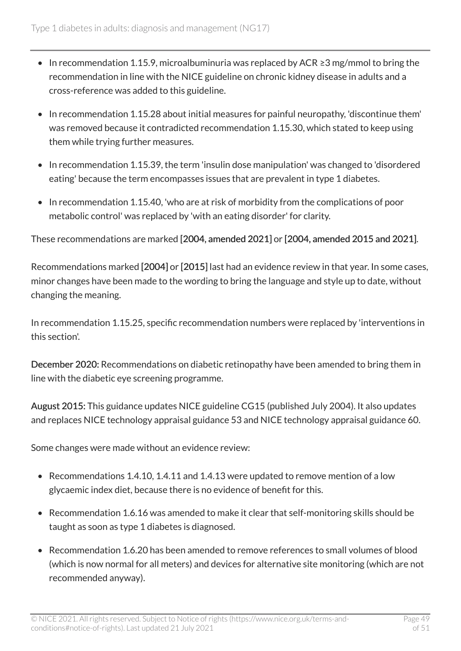- In recommendation 1.15.9, microalbuminuria was replaced by ACR ≥3 mg/mmol to bring the recommendation in line with the NICE guideline on chronic kidney disease in adults and a cross-reference was added to this guideline.
- In recommendation 1.15.28 about initial measures for painful neuropathy, 'discontinue them' was removed because it contradicted recommendation 1.15.30, which stated to keep using them while trying further measures.
- In recommendation 1.15.39, the term 'insulin dose manipulation' was changed to 'disordered eating' because the term encompasses issues that are prevalent in type 1 diabetes.
- In recommendation 1.15.40, 'who are at risk of morbidity from the complications of poor metabolic control' was replaced by 'with an eating disorder' for clarity.

These recommendations are marked [2004, amended 2021] or [2004, amended 2015 and 2021].

Recommendations marked [2004] or [2015] last had an evidence review in that year. In some cases, minor changes have been made to the wording to bring the language and style up to date, without changing the meaning.

In recommendation 1.15.25, specific recommendation numbers were replaced by 'interventions in this section'.

December 2020: Recommendations on diabetic retinopathy have been amended to bring them in line with the diabetic eye screening programme.

August 2015: This guidance updates NICE guideline CG15 (published July 2004). It also updates and replaces NICE technology appraisal guidance 53 and NICE technology appraisal guidance 60.

Some changes were made without an evidence review:

- Recommendations 1.4.10, 1.4.11 and 1.4.13 were updated to remove mention of a low glycaemic index diet, because there is no evidence of benefit for this.
- Recommendation 1.6.16 was amended to make it clear that self-monitoring skills should be taught as soon as type 1 diabetes is diagnosed.
- Recommendation 1.6.20 has been amended to remove references to small volumes of blood (which is now normal for all meters) and devices for alternative site monitoring (which are not recommended anyway).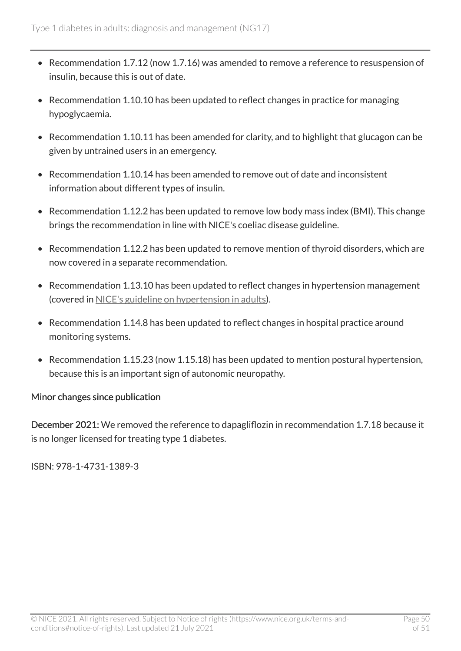- Recommendation 1.7.12 (now 1.7.16) was amended to remove a reference to resuspension of insulin, because this is out of date.
- Recommendation 1.10.10 has been updated to reflect changes in practice for managing hypoglycaemia.
- Recommendation 1.10.11 has been amended for clarity, and to highlight that glucagon can be given by untrained users in an emergency.
- Recommendation 1.10.14 has been amended to remove out of date and inconsistent information about different types of insulin.
- Recommendation 1.12.2 has been updated to remove low body mass index (BMI). This change brings the recommendation in line with NICE's coeliac disease guideline.
- Recommendation 1.12.2 has been updated to remove mention of thyroid disorders, which are now covered in a separate recommendation.
- Recommendation 1.13.10 has been updated to reflect changes in hypertension management (covered in [NICE's guideline on hypertension in adults\)](https://www.nice.org.uk/guidance/ng136).
- Recommendation 1.14.8 has been updated to reflect changes in hospital practice around monitoring systems.
- Recommendation 1.15.23 (now 1.15.18) has been updated to mention postural hypertension, because this is an important sign of autonomic neuropathy.

#### Minor changes since publication

December 2021: We removed the reference to dapagliflozin in recommendation 1.7.18 because it is no longer licensed for treating type 1 diabetes.

ISBN: 978-1-4731-1389-3